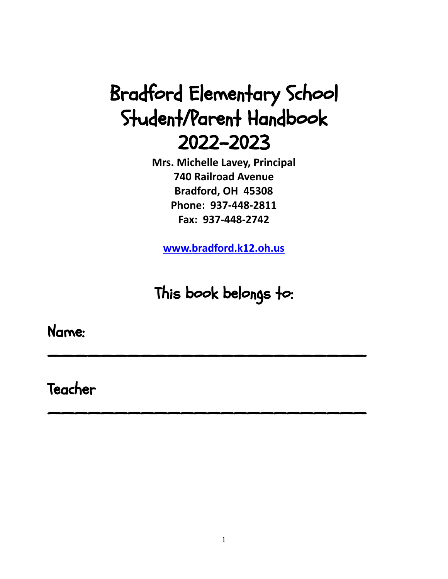# Bradford Elementary School Student/Parent Handbook 2022-2023

**Mrs. Michelle Lavey, Principal 740 Railroad Avenue Bradford, OH 45308 Phone: 937-448-2811 Fax: 937-448-2742**

**[www.bradford.k12.oh.us](http://www.bradford.k12.oh.us)**

This book belongs to:

 $\overline{\phantom{a}}$  , we can also the contract of the contract of the contract of the contract of the contract of the contract of the contract of the contract of the contract of the contract of the contract of the contract of the

 $\overline{\phantom{a}}$  , we can also the contract of the contract of the contract of the contract of the contract of the contract of the contract of the contract of the contract of the contract of the contract of the contract of the

Name:

Teacher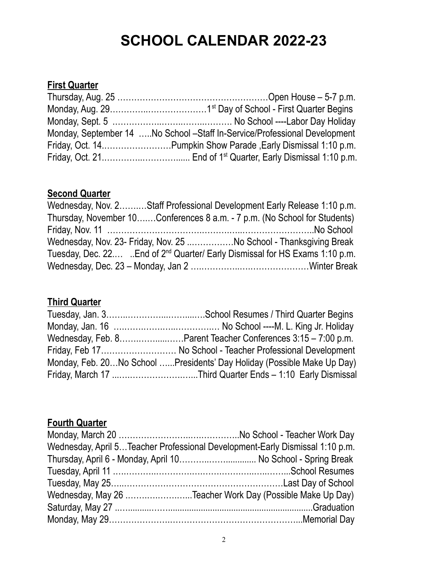# **SCHOOL CALENDAR 2022-23**

# **First Quarter**

| Monday, September 14 No School -Staff In-Service/Professional Development |
|---------------------------------------------------------------------------|
| Friday, Oct. 14Pumpkin Show Parade, Early Dismissal 1:10 p.m.             |
|                                                                           |

## **Second Quarter**

|  | Wednesday, Nov. 2Staff Professional Development Early Release 1:10 p.m.                 |
|--|-----------------------------------------------------------------------------------------|
|  | Thursday, November 10Conferences 8 a.m. - 7 p.m. (No School for Students)               |
|  |                                                                                         |
|  | Wednesday, Nov. 23- Friday, Nov. 25 No School - Thanksgiving Break                      |
|  | Tuesday, Dec. 22 End of 2 <sup>nd</sup> Quarter/ Early Dismissal for HS Exams 1:10 p.m. |
|  |                                                                                         |

# **Third Quarter**

| Wednesday, Feb. 8Parent Teacher Conferences 3:15 – 7:00 p.m.            |
|-------------------------------------------------------------------------|
| Friday, Feb 17 No School - Teacher Professional Development             |
| Monday, Feb. 20No School Presidents' Day Holiday (Possible Make Up Day) |
|                                                                         |
|                                                                         |

# **Fourth Quarter**

| Wednesday, April 5Teacher Professional Development-Early Dismissal 1:10 p.m. |
|------------------------------------------------------------------------------|
| Thursday, April 6 - Monday, April 10 No School - Spring Break                |
|                                                                              |
|                                                                              |
| Wednesday, May 26 Teacher Work Day (Possible Make Up Day)                    |
|                                                                              |
|                                                                              |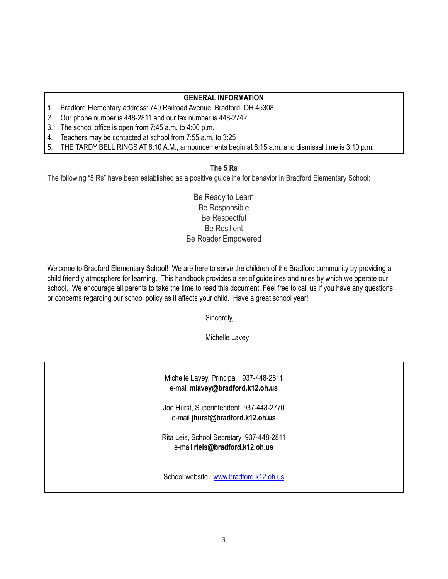## **GENERAL INFORMATION**

- 1. Bradford Elementary address: 740 Railroad Avenue, Bradford, OH 45308
- 2. Our phone number is 448-2811 and our fax number is 448-2742.
- 3. The school office is open from 7:45 a.m. to 4:00 p.m.
- 4. Teachers may be contacted at school from 7:55 a.m. to 3:25
- 5. THE TARDY BELL RINGS AT 8:10 A.M., announcements begin at 8:15 a.m. and dismissal time is 3:10 p.m.

## **The 5 Rs**

The following "5 Rs" have been established as a positive guideline for behavior in Bradford Elementary School:

Be Ready to Learn Be Responsible Be Respectful Be Resilient Be Roader Empowered

Welcome to Bradford Elementary School! We are here to serve the children of the Bradford community by providing a child friendly atmosphere for learning. This handbook provides a set of guidelines and rules by which we operate our school. We encourage all parents to take the time to read this document. Feel free to call us if you have any questions or concerns regarding our school policy as it affects your child. Have a great school year!

Sincerely,

Michelle Lavey

Michelle Lavey, Principal 937-448-2811 e-mail **mlavey@bradford.k12.oh.us**

Joe Hurst, Superintendent 937-448-2770 e-mail **jhurst@bradford.k12.oh.us**

Rita Leis, School Secretary 937-448-2811 e-mail **rleis@bradford.k12.oh.us**

School website [www.bradford.k12.oh.us](http://www.bradford.k12.oh.us)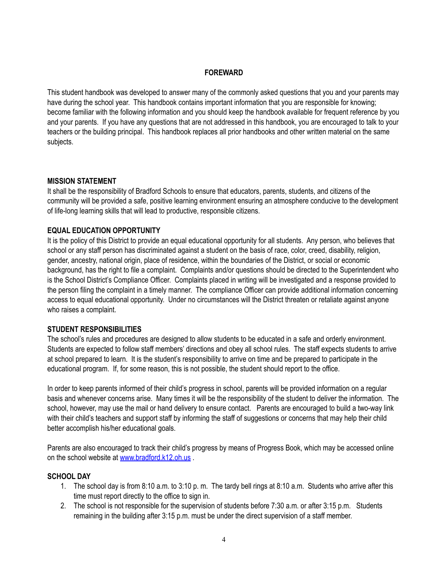## **FOREWARD**

This student handbook was developed to answer many of the commonly asked questions that you and your parents may have during the school year. This handbook contains important information that you are responsible for knowing; become familiar with the following information and you should keep the handbook available for frequent reference by you and your parents. If you have any questions that are not addressed in this handbook, you are encouraged to talk to your teachers or the building principal. This handbook replaces all prior handbooks and other written material on the same subjects.

#### **MISSION STATEMENT**

It shall be the responsibility of Bradford Schools to ensure that educators, parents, students, and citizens of the community will be provided a safe, positive learning environment ensuring an atmosphere conducive to the development of life-long learning skills that will lead to productive, responsible citizens.

#### **EQUAL EDUCATION OPPORTUNITY**

It is the policy of this District to provide an equal educational opportunity for all students. Any person, who believes that school or any staff person has discriminated against a student on the basis of race, color, creed, disability, religion, gender, ancestry, national origin, place of residence, within the boundaries of the District, or social or economic background, has the right to file a complaint. Complaints and/or questions should be directed to the Superintendent who is the School District's Compliance Officer. Complaints placed in writing will be investigated and a response provided to the person filing the complaint in a timely manner. The compliance Officer can provide additional information concerning access to equal educational opportunity. Under no circumstances will the District threaten or retaliate against anyone who raises a complaint.

#### **STUDENT RESPONSIBILITIES**

The school's rules and procedures are designed to allow students to be educated in a safe and orderly environment. Students are expected to follow staff members' directions and obey all school rules. The staff expects students to arrive at school prepared to learn. It is the student's responsibility to arrive on time and be prepared to participate in the educational program. If, for some reason, this is not possible, the student should report to the office.

In order to keep parents informed of their child's progress in school, parents will be provided information on a regular basis and whenever concerns arise. Many times it will be the responsibility of the student to deliver the information. The school, however, may use the mail or hand delivery to ensure contact. Parents are encouraged to build a two-way link with their child's teachers and support staff by informing the staff of suggestions or concerns that may help their child better accomplish his/her educational goals.

Parents are also encouraged to track their child's progress by means of Progress Book, which may be accessed online on the school website at [www.bradford.k12.oh.us](http://www.bradford.k12.oh.us) .

### **SCHOOL DAY**

- 1. The school day is from 8:10 a.m. to 3:10 p. m. The tardy bell rings at 8:10 a.m. Students who arrive after this time must report directly to the office to sign in.
- 2. The school is not responsible for the supervision of students before 7:30 a.m. or after 3:15 p.m. Students remaining in the building after 3:15 p.m. must be under the direct supervision of a staff member.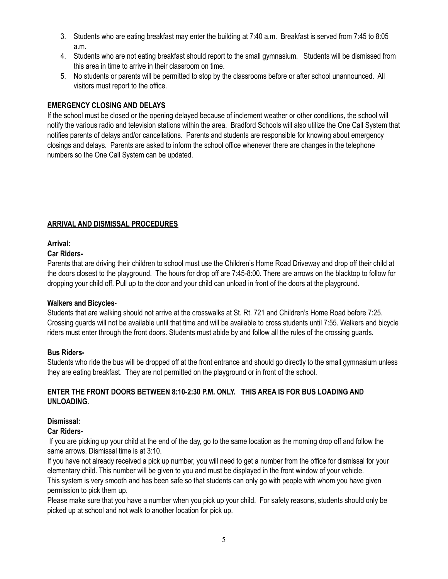- 3. Students who are eating breakfast may enter the building at 7:40 a.m. Breakfast is served from 7:45 to 8:05 a.m.
- 4. Students who are not eating breakfast should report to the small gymnasium. Students will be dismissed from this area in time to arrive in their classroom on time.
- 5. No students or parents will be permitted to stop by the classrooms before or after school unannounced. All visitors must report to the office.

## **EMERGENCY CLOSING AND DELAYS**

If the school must be closed or the opening delayed because of inclement weather or other conditions, the school will notify the various radio and television stations within the area. Bradford Schools will also utilize the One Call System that notifies parents of delays and/or cancellations. Parents and students are responsible for knowing about emergency closings and delays. Parents are asked to inform the school office whenever there are changes in the telephone numbers so the One Call System can be updated.

## **ARRIVAL AND DISMISSAL PROCEDURES**

## **Arrival:**

## **Car Riders-**

Parents that are driving their children to school must use the Children's Home Road Driveway and drop off their child at the doors closest to the playground. The hours for drop off are 7:45-8:00. There are arrows on the blacktop to follow for dropping your child off. Pull up to the door and your child can unload in front of the doors at the playground.

## **Walkers and Bicycles-**

Students that are walking should not arrive at the crosswalks at St. Rt. 721 and Children's Home Road before 7:25. Crossing guards will not be available until that time and will be available to cross students until 7:55. Walkers and bicycle riders must enter through the front doors. Students must abide by and follow all the rules of the crossing guards.

## **Bus Riders-**

Students who ride the bus will be dropped off at the front entrance and should go directly to the small gymnasium unless they are eating breakfast. They are not permitted on the playground or in front of the school.

## **ENTER THE FRONT DOORS BETWEEN 8:10-2:30 P.M. ONLY. THIS AREA IS FOR BUS LOADING AND UNLOADING.**

## **Dismissal:**

### **Car Riders-**

If you are picking up your child at the end of the day, go to the same location as the morning drop off and follow the same arrows. Dismissal time is at 3:10.

If you have not already received a pick up number, you will need to get a number from the office for dismissal for your elementary child. This number will be given to you and must be displayed in the front window of your vehicle. This system is very smooth and has been safe so that students can only go with people with whom you have given

permission to pick them up.

Please make sure that you have a number when you pick up your child. For safety reasons, students should only be picked up at school and not walk to another location for pick up.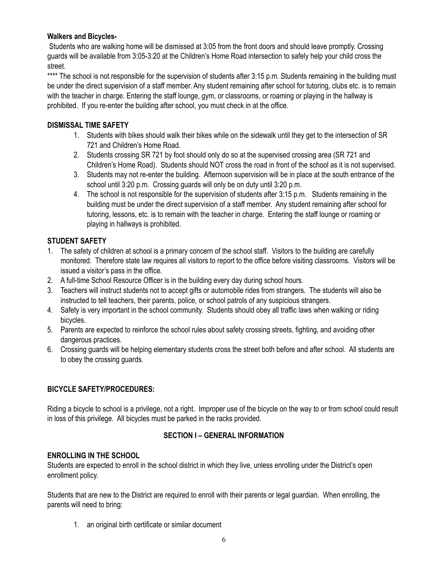## **Walkers and Bicycles-**

Students who are walking home will be dismissed at 3:05 from the front doors and should leave promptly. Crossing guards will be available from 3:05-3:20 at the Children's Home Road intersection to safely help your child cross the street.

\*\*\*\* The school is not responsible for the supervision of students after 3:15 p.m. Students remaining in the building must be under the direct supervision of a staff member. Any student remaining after school for tutoring, clubs etc. is to remain with the teacher in charge. Entering the staff lounge, gym, or classrooms, or roaming or playing in the hallway is prohibited. If you re-enter the building after school, you must check in at the office.

## **DISMISSAL TIME SAFETY**

- 1. Students with bikes should walk their bikes while on the sidewalk until they get to the intersection of SR 721 and Children's Home Road.
- 2. Students crossing SR 721 by foot should only do so at the supervised crossing area (SR 721 and Children's Home Road). Students should NOT cross the road in front of the school as it is not supervised.
- 3. Students may not re-enter the building. Afternoon supervision will be in place at the south entrance of the school until 3:20 p.m. Crossing guards will only be on duty until 3:20 p.m.
- 4. The school is not responsible for the supervision of students after 3:15 p.m. Students remaining in the building must be under the direct supervision of a staff member. Any student remaining after school for tutoring, lessons, etc. is to remain with the teacher in charge. Entering the staff lounge or roaming or playing in hallways is prohibited.

## **STUDENT SAFETY**

- 1. The safety of children at school is a primary concern of the school staff. Visitors to the building are carefully monitored. Therefore state law requires all visitors to report to the office before visiting classrooms. Visitors will be issued a visitor's pass in the office.
- 2. A full-time School Resource Officer is in the building every day during school hours.
- 3. Teachers will instruct students not to accept gifts or automobile rides from strangers. The students will also be instructed to tell teachers, their parents, police, or school patrols of any suspicious strangers.
- 4. Safety is very important in the school community. Students should obey all traffic laws when walking or riding bicycles.
- 5. Parents are expected to reinforce the school rules about safety crossing streets, fighting, and avoiding other dangerous practices.
- 6. Crossing guards will be helping elementary students cross the street both before and after school. All students are to obey the crossing guards.

## **BICYCLE SAFETY/PROCEDURES:**

Riding a bicycle to school is a privilege, not a right. Improper use of the bicycle on the way to or from school could result in loss of this privilege. All bicycles must be parked in the racks provided.

## **SECTION I – GENERAL INFORMATION**

## **ENROLLING IN THE SCHOOL**

Students are expected to enroll in the school district in which they live, unless enrolling under the District's open enrollment policy.

Students that are new to the District are required to enroll with their parents or legal guardian. When enrolling, the parents will need to bring:

1. an original birth certificate or similar document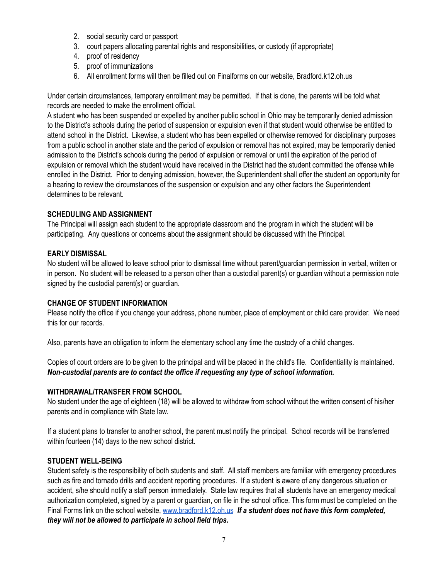- 2. social security card or passport
- 3. court papers allocating parental rights and responsibilities, or custody (if appropriate)
- 4. proof of residency
- 5. proof of immunizations
- 6. All enrollment forms will then be filled out on Finalforms on our website, Bradford.k12.oh.us

Under certain circumstances, temporary enrollment may be permitted. If that is done, the parents will be told what records are needed to make the enrollment official.

A student who has been suspended or expelled by another public school in Ohio may be temporarily denied admission to the District's schools during the period of suspension or expulsion even if that student would otherwise be entitled to attend school in the District. Likewise, a student who has been expelled or otherwise removed for disciplinary purposes from a public school in another state and the period of expulsion or removal has not expired, may be temporarily denied admission to the District's schools during the period of expulsion or removal or until the expiration of the period of expulsion or removal which the student would have received in the District had the student committed the offense while enrolled in the District. Prior to denying admission, however, the Superintendent shall offer the student an opportunity for a hearing to review the circumstances of the suspension or expulsion and any other factors the Superintendent determines to be relevant.

## **SCHEDULING AND ASSIGNMENT**

The Principal will assign each student to the appropriate classroom and the program in which the student will be participating. Any questions or concerns about the assignment should be discussed with the Principal.

## **EARLY DISMISSAL**

No student will be allowed to leave school prior to dismissal time without parent/guardian permission in verbal, written or in person. No student will be released to a person other than a custodial parent(s) or guardian without a permission note signed by the custodial parent(s) or guardian.

## **CHANGE OF STUDENT INFORMATION**

Please notify the office if you change your address, phone number, place of employment or child care provider. We need this for our records.

Also, parents have an obligation to inform the elementary school any time the custody of a child changes.

Copies of court orders are to be given to the principal and will be placed in the child's file. Confidentiality is maintained. *Non-custodial parents are to contact the office if requesting any type of school information.*

## **WITHDRAWAL/TRANSFER FROM SCHOOL**

No student under the age of eighteen (18) will be allowed to withdraw from school without the written consent of his/her parents and in compliance with State law.

If a student plans to transfer to another school, the parent must notify the principal. School records will be transferred within fourteen (14) days to the new school district.

## **STUDENT WELL-BEING**

Student safety is the responsibility of both students and staff. All staff members are familiar with emergency procedures such as fire and tornado drills and accident reporting procedures. If a student is aware of any dangerous situation or accident, s/he should notify a staff person immediately. State law requires that all students have an emergency medical authorization completed, signed by a parent or guardian, on file in the school office. This form must be completed on the Final Forms link on the school website, [www.bradford.k12.oh.us](http://www.bradford.k12.oh.us) *If a student does not have this form completed, they will not be allowed to participate in school field trips.*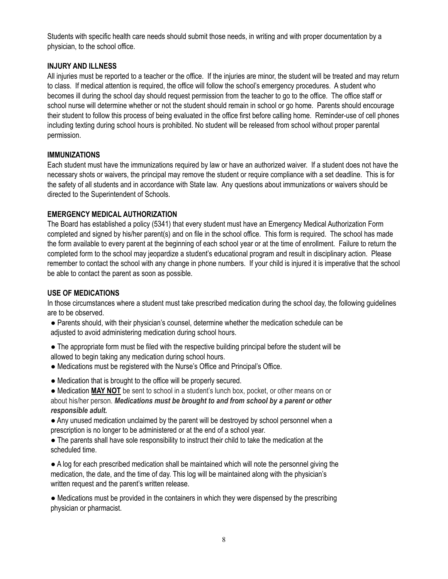Students with specific health care needs should submit those needs, in writing and with proper documentation by a physician, to the school office.

## **INJURY AND ILLNESS**

All injuries must be reported to a teacher or the office. If the injuries are minor, the student will be treated and may return to class. If medical attention is required, the office will follow the school's emergency procedures. A student who becomes ill during the school day should request permission from the teacher to go to the office. The office staff or school nurse will determine whether or not the student should remain in school or go home. Parents should encourage their student to follow this process of being evaluated in the office first before calling home. Reminder-use of cell phones including texting during school hours is prohibited. No student will be released from school without proper parental permission.

## **IMMUNIZATIONS**

Each student must have the immunizations required by law or have an authorized waiver. If a student does not have the necessary shots or waivers, the principal may remove the student or require compliance with a set deadline. This is for the safety of all students and in accordance with State law. Any questions about immunizations or waivers should be directed to the Superintendent of Schools.

## **EMERGENCY MEDICAL AUTHORIZATION**

The Board has established a policy (5341) that every student must have an Emergency Medical Authorization Form completed and signed by his/her parent(s) and on file in the school office. This form is required. The school has made the form available to every parent at the beginning of each school year or at the time of enrollment. Failure to return the completed form to the school may jeopardize a student's educational program and result in disciplinary action. Please remember to contact the school with any change in phone numbers. If your child is injured it is imperative that the school be able to contact the parent as soon as possible.

## **USE OF MEDICATIONS**

In those circumstances where a student must take prescribed medication during the school day, the following guidelines are to be observed.

- Parents should, with their physician's counsel, determine whether the medication schedule can be adjusted to avoid administering medication during school hours.
- The appropriate form must be filed with the respective building principal before the student will be allowed to begin taking any medication during school hours.
- **●** Medications must be registered with the Nurse's Office and Principal's Office.
- Medication that is brought to the office will be properly secured.
- Medication **MAY NOT** be sent to school in a student's lunch box, pocket, or other means on or about his/her person. *Medications must be brought to and from school by a parent or other responsible adult.*
- Any unused medication unclaimed by the parent will be destroyed by school personnel when a prescription is no longer to be administered or at the end of a school year.
- The parents shall have sole responsibility to instruct their child to take the medication at the scheduled time.

● A log for each prescribed medication shall be maintained which will note the personnel giving the medication, the date, and the time of day. This log will be maintained along with the physician's written request and the parent's written release.

● Medications must be provided in the containers in which they were dispensed by the prescribing physician or pharmacist.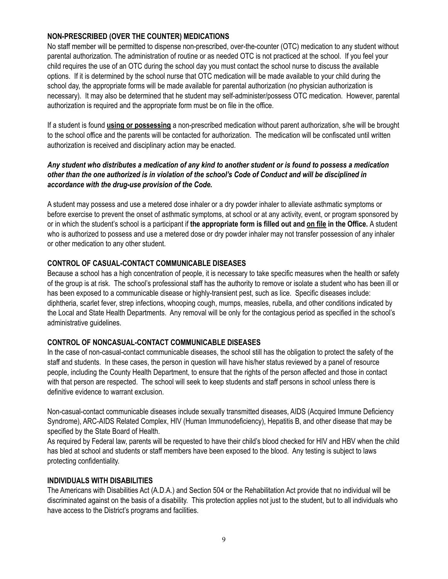## **NON-PRESCRIBED (OVER THE COUNTER) MEDICATIONS**

No staff member will be permitted to dispense non-prescribed, over-the-counter (OTC) medication to any student without parental authorization. The administration of routine or as needed OTC is not practiced at the school. If you feel your child requires the use of an OTC during the school day you must contact the school nurse to discuss the available options. If it is determined by the school nurse that OTC medication will be made available to your child during the school day, the appropriate forms will be made available for parental authorization (no physician authorization is necessary). It may also be determined that he student may self-administer/possess OTC medication. However, parental authorization is required and the appropriate form must be on file in the office.

If a student is found **using or possessing** a non-prescribed medication without parent authorization, s/he will be brought to the school office and the parents will be contacted for authorization. The medication will be confiscated until written authorization is received and disciplinary action may be enacted.

## Any student who distributes a medication of any kind to another student or is found to possess a medication other than the one authorized is in violation of the school's Code of Conduct and will be disciplined in *accordance with the drug-use provision of the Code.*

A student may possess and use a metered dose inhaler or a dry powder inhaler to alleviate asthmatic symptoms or before exercise to prevent the onset of asthmatic symptoms, at school or at any activity, event, or program sponsored by or in which the student's school is a participant if **the appropriate form is filled out and on file in the Office.** A student who is authorized to possess and use a metered dose or dry powder inhaler may not transfer possession of any inhaler or other medication to any other student.

## **CONTROL OF CASUAL-CONTACT COMMUNICABLE DISEASES**

Because a school has a high concentration of people, it is necessary to take specific measures when the health or safety of the group is at risk. The school's professional staff has the authority to remove or isolate a student who has been ill or has been exposed to a communicable disease or highly-transient pest, such as lice. Specific diseases include: diphtheria, scarlet fever, strep infections, whooping cough, mumps, measles, rubella, and other conditions indicated by the Local and State Health Departments. Any removal will be only for the contagious period as specified in the school's administrative guidelines.

#### **CONTROL OF NONCASUAL-CONTACT COMMUNICABLE DISEASES**

In the case of non-casual-contact communicable diseases, the school still has the obligation to protect the safety of the staff and students. In these cases, the person in question will have his/her status reviewed by a panel of resource people, including the County Health Department, to ensure that the rights of the person affected and those in contact with that person are respected. The school will seek to keep students and staff persons in school unless there is definitive evidence to warrant exclusion.

Non-casual-contact communicable diseases include sexually transmitted diseases, AIDS (Acquired Immune Deficiency Syndrome), ARC-AIDS Related Complex, HIV (Human Immunodeficiency), Hepatitis B, and other disease that may be specified by the State Board of Health.

As required by Federal law, parents will be requested to have their child's blood checked for HIV and HBV when the child has bled at school and students or staff members have been exposed to the blood. Any testing is subject to laws protecting confidentiality.

#### **INDIVIDUALS WITH DISABILITIES**

The Americans with Disabilities Act (A.D.A.) and Section 504 or the Rehabilitation Act provide that no individual will be discriminated against on the basis of a disability. This protection applies not just to the student, but to all individuals who have access to the District's programs and facilities.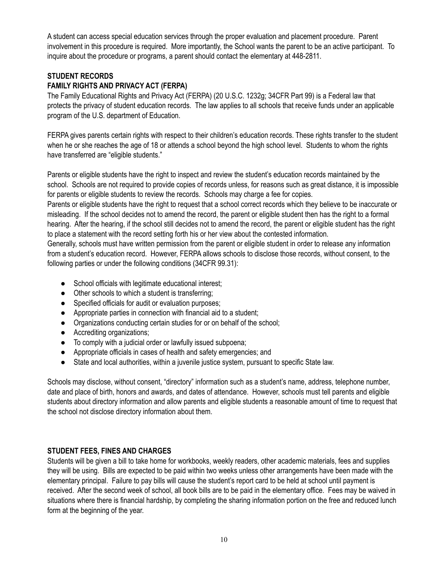A student can access special education services through the proper evaluation and placement procedure. Parent involvement in this procedure is required. More importantly, the School wants the parent to be an active participant. To inquire about the procedure or programs, a parent should contact the elementary at 448-2811.

## **STUDENT RECORDS**

## **FAMILY RIGHTS AND PRIVACY ACT (FERPA)**

The Family Educational Rights and Privacy Act (FERPA) (20 U.S.C. 1232g; 34CFR Part 99) is a Federal law that protects the privacy of student education records. The law applies to all schools that receive funds under an applicable program of the U.S. department of Education.

FERPA gives parents certain rights with respect to their children's education records. These rights transfer to the student when he or she reaches the age of 18 or attends a school beyond the high school level. Students to whom the rights have transferred are "eligible students."

Parents or eligible students have the right to inspect and review the student's education records maintained by the school. Schools are not required to provide copies of records unless, for reasons such as great distance, it is impossible for parents or eligible students to review the records. Schools may charge a fee for copies.

Parents or eligible students have the right to request that a school correct records which they believe to be inaccurate or misleading. If the school decides not to amend the record, the parent or eligible student then has the right to a formal hearing. After the hearing, if the school still decides not to amend the record, the parent or eligible student has the right to place a statement with the record setting forth his or her view about the contested information.

Generally, schools must have written permission from the parent or eligible student in order to release any information from a student's education record. However, FERPA allows schools to disclose those records, without consent, to the following parties or under the following conditions (34CFR 99.31):

- School officials with legitimate educational interest;
- Other schools to which a student is transferring;
- Specified officials for audit or evaluation purposes;
- Appropriate parties in connection with financial aid to a student;
- Organizations conducting certain studies for or on behalf of the school;
- Accrediting organizations;
- To comply with a judicial order or lawfully issued subpoena;
- Appropriate officials in cases of health and safety emergencies; and
- State and local authorities, within a juvenile justice system, pursuant to specific State law.

Schools may disclose, without consent, "directory" information such as a student's name, address, telephone number, date and place of birth, honors and awards, and dates of attendance. However, schools must tell parents and eligible students about directory information and allow parents and eligible students a reasonable amount of time to request that the school not disclose directory information about them.

## **STUDENT FEES, FINES AND CHARGES**

Students will be given a bill to take home for workbooks, weekly readers, other academic materials, fees and supplies they will be using. Bills are expected to be paid within two weeks unless other arrangements have been made with the elementary principal. Failure to pay bills will cause the student's report card to be held at school until payment is received. After the second week of school, all book bills are to be paid in the elementary office. Fees may be waived in situations where there is financial hardship, by completing the sharing information portion on the free and reduced lunch form at the beginning of the year.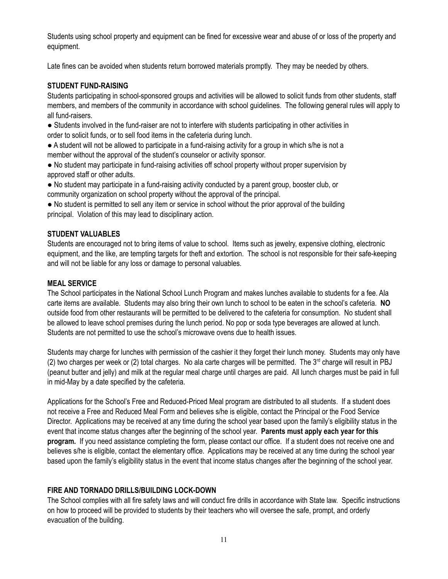Students using school property and equipment can be fined for excessive wear and abuse of or loss of the property and equipment.

Late fines can be avoided when students return borrowed materials promptly. They may be needed by others.

## **STUDENT FUND-RAISING**

Students participating in school-sponsored groups and activities will be allowed to solicit funds from other students, staff members, and members of the community in accordance with school guidelines. The following general rules will apply to all fund-raisers.

● Students involved in the fund-raiser are not to interfere with students participating in other activities in order to solicit funds, or to sell food items in the cafeteria during lunch.

● A student will not be allowed to participate in a fund-raising activity for a group in which s/he is not a member without the approval of the student's counselor or activity sponsor.

● No student may participate in fund-raising activities off school property without proper supervision by approved staff or other adults.

● No student may participate in a fund-raising activity conducted by a parent group, booster club, or community organization on school property without the approval of the principal.

• No student is permitted to sell any item or service in school without the prior approval of the building principal. Violation of this may lead to disciplinary action.

## **STUDENT VALUABLES**

Students are encouraged not to bring items of value to school. Items such as jewelry, expensive clothing, electronic equipment, and the like, are tempting targets for theft and extortion. The school is not responsible for their safe-keeping and will not be liable for any loss or damage to personal valuables.

## **MEAL SERVICE**

The School participates in the National School Lunch Program and makes lunches available to students for a fee. Ala carte items are available. Students may also bring their own lunch to school to be eaten in the school's cafeteria. **NO** outside food from other restaurants will be permitted to be delivered to the cafeteria for consumption. No student shall be allowed to leave school premises during the lunch period. No pop or soda type beverages are allowed at lunch. Students are not permitted to use the school's microwave ovens due to health issues.

Students may charge for lunches with permission of the cashier it they forget their lunch money. Students may only have  $(2)$  two charges per week or  $(2)$  total charges. No ala carte charges will be permitted. The  $3<sup>rd</sup>$  charge will result in PBJ (peanut butter and jelly) and milk at the regular meal charge until charges are paid. All lunch charges must be paid in full in mid-May by a date specified by the cafeteria.

Applications for the School's Free and Reduced-Priced Meal program are distributed to all students. If a student does not receive a Free and Reduced Meal Form and believes s/he is eligible, contact the Principal or the Food Service Director. Applications may be received at any time during the school year based upon the family's eligibility status in the event that income status changes after the beginning of the school year. **Parents must apply each year for this program.** If you need assistance completing the form, please contact our office. If a student does not receive one and believes s/he is eligible, contact the elementary office. Applications may be received at any time during the school year based upon the family's eligibility status in the event that income status changes after the beginning of the school year.

## **FIRE AND TORNADO DRILLS/BUILDING LOCK-DOWN**

The School complies with all fire safety laws and will conduct fire drills in accordance with State law. Specific instructions on how to proceed will be provided to students by their teachers who will oversee the safe, prompt, and orderly evacuation of the building.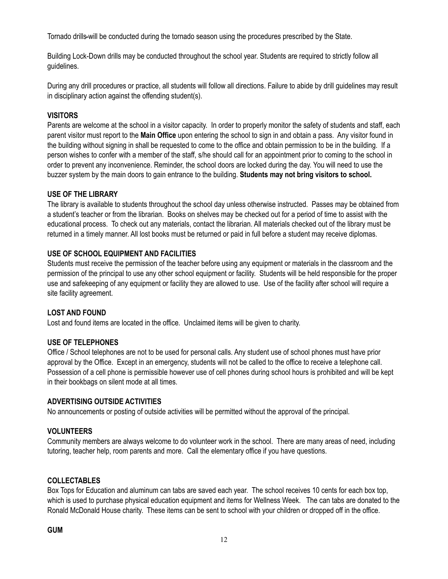Tornado drills will be conducted during the tornado season using the procedures prescribed by the State.

Building Lock-Down drills may be conducted throughout the school year. Students are required to strictly follow all guidelines.

During any drill procedures or practice, all students will follow all directions. Failure to abide by drill guidelines may result in disciplinary action against the offending student(s).

## **VISITORS**

Parents are welcome at the school in a visitor capacity. In order to properly monitor the safety of students and staff, each parent visitor must report to the **Main Office** upon entering the school to sign in and obtain a pass. Any visitor found in the building without signing in shall be requested to come to the office and obtain permission to be in the building. If a person wishes to confer with a member of the staff, s/he should call for an appointment prior to coming to the school in order to prevent any inconvenience. Reminder, the school doors are locked during the day. You will need to use the buzzer system by the main doors to gain entrance to the building. **Students may not bring visitors to school.**

## **USE OF THE LIBRARY**

The library is available to students throughout the school day unless otherwise instructed. Passes may be obtained from a student's teacher or from the librarian. Books on shelves may be checked out for a period of time to assist with the educational process. To check out any materials, contact the librarian. All materials checked out of the library must be returned in a timely manner. All lost books must be returned or paid in full before a student may receive diplomas.

## **USE OF SCHOOL EQUIPMENT AND FACILITIES**

Students must receive the permission of the teacher before using any equipment or materials in the classroom and the permission of the principal to use any other school equipment or facility. Students will be held responsible for the proper use and safekeeping of any equipment or facility they are allowed to use. Use of the facility after school will require a site facility agreement.

## **LOST AND FOUND**

Lost and found items are located in the office. Unclaimed items will be given to charity.

## **USE OF TELEPHONES**

Office / School telephones are not to be used for personal calls. Any student use of school phones must have prior approval by the Office. Except in an emergency, students will not be called to the office to receive a telephone call. Possession of a cell phone is permissible however use of cell phones during school hours is prohibited and will be kept in their bookbags on silent mode at all times.

## **ADVERTISING OUTSIDE ACTIVITIES**

No announcements or posting of outside activities will be permitted without the approval of the principal.

## **VOLUNTEERS**

Community members are always welcome to do volunteer work in the school. There are many areas of need, including tutoring, teacher help, room parents and more. Call the elementary office if you have questions.

## **COLLECTABLES**

Box Tops for Education and aluminum can tabs are saved each year. The school receives 10 cents for each box top, which is used to purchase physical education equipment and items for Wellness Week. The can tabs are donated to the Ronald McDonald House charity. These items can be sent to school with your children or dropped off in the office.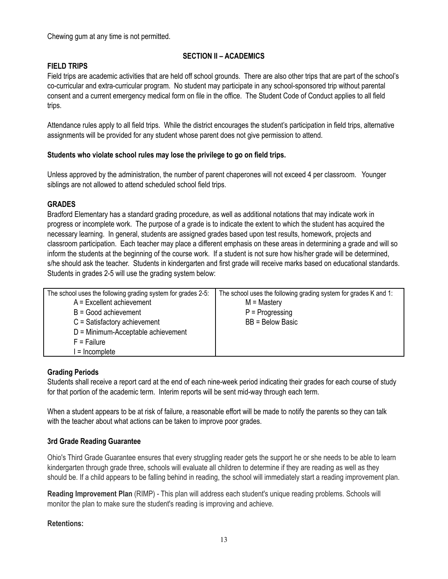Chewing gum at any time is not permitted.

## **SECTION II – ACADEMICS**

## **FIELD TRIPS**

Field trips are academic activities that are held off school grounds. There are also other trips that are part of the school's co-curricular and extra-curricular program. No student may participate in any school-sponsored trip without parental consent and a current emergency medical form on file in the office. The Student Code of Conduct applies to all field trips.

Attendance rules apply to all field trips. While the district encourages the student's participation in field trips, alternative assignments will be provided for any student whose parent does not give permission to attend.

## **Students who violate school rules may lose the privilege to go on field trips.**

Unless approved by the administration, the number of parent chaperones will not exceed 4 per classroom. Younger siblings are not allowed to attend scheduled school field trips.

## **GRADES**

Bradford Elementary has a standard grading procedure, as well as additional notations that may indicate work in progress or incomplete work. The purpose of a grade is to indicate the extent to which the student has acquired the necessary learning. In general, students are assigned grades based upon test results, homework, projects and classroom participation. Each teacher may place a different emphasis on these areas in determining a grade and will so inform the students at the beginning of the course work. If a student is not sure how his/her grade will be determined, s/he should ask the teacher. Students in kindergarten and first grade will receive marks based on educational standards. Students in grades 2-5 will use the grading system below:

| The school uses the following grading system for grades 2-5: | The school uses the following grading system for grades K and 1: |
|--------------------------------------------------------------|------------------------------------------------------------------|
| $A = Excellent achievement$                                  | $M =$ Mastery                                                    |
| $B = Good$ achievement                                       | $P =$ Progressing                                                |
| $C = Satisfactory achievement$                               | BB = Below Basic                                                 |
| $D =$ Minimum-Acceptable achievement                         |                                                                  |
| $F =$ Failure                                                |                                                                  |
| l = Incomplete                                               |                                                                  |

## **Grading Periods**

Students shall receive a report card at the end of each nine-week period indicating their grades for each course of study for that portion of the academic term. Interim reports will be sent mid-way through each term.

When a student appears to be at risk of failure, a reasonable effort will be made to notify the parents so they can talk with the teacher about what actions can be taken to improve poor grades.

## **3rd Grade Reading Guarantee**

Ohio's Third Grade Guarantee ensures that every struggling reader gets the support he or she needs to be able to learn kindergarten through grade three, schools will evaluate all children to determine if they are reading as well as they should be. If a child appears to be falling behind in reading, the school will immediately start a reading improvement plan.

**Reading Improvement Plan** (RIMP) - This plan will address each student's unique reading problems. Schools will monitor the plan to make sure the student's reading is improving and achieve.

## **Retentions:**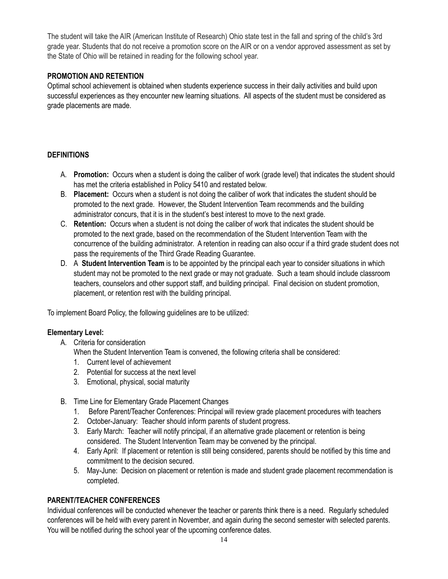The student will take the AIR (American Institute of Research) Ohio state test in the fall and spring of the child's 3rd grade year. Students that do not receive a promotion score on the AIR or on a vendor approved assessment as set by the State of Ohio will be retained in reading for the following school year.

## **PROMOTION AND RETENTION**

Optimal school achievement is obtained when students experience success in their daily activities and build upon successful experiences as they encounter new learning situations. All aspects of the student must be considered as grade placements are made.

## **DEFINITIONS**

- A. **Promotion:** Occurs when a student is doing the caliber of work (grade level) that indicates the student should has met the criteria established in Policy 5410 and restated below.
- B. **Placement:** Occurs when a student is not doing the caliber of work that indicates the student should be promoted to the next grade. However, the Student Intervention Team recommends and the building administrator concurs, that it is in the student's best interest to move to the next grade.
- C. **Retention:** Occurs when a student is not doing the caliber of work that indicates the student should be promoted to the next grade, based on the recommendation of the Student Intervention Team with the concurrence of the building administrator. A retention in reading can also occur if a third grade student does not pass the requirements of the Third Grade Reading Guarantee.
- D. A **Student Intervention Team** is to be appointed by the principal each year to consider situations in which student may not be promoted to the next grade or may not graduate. Such a team should include classroom teachers, counselors and other support staff, and building principal. Final decision on student promotion, placement, or retention rest with the building principal.

To implement Board Policy, the following guidelines are to be utilized:

## **Elementary Level:**

A. Criteria for consideration

When the Student Intervention Team is convened, the following criteria shall be considered:

- 1. Current level of achievement
- 2. Potential for success at the next level
- 3. Emotional, physical, social maturity
- B. Time Line for Elementary Grade Placement Changes
	- 1. Before Parent/Teacher Conferences: Principal will review grade placement procedures with teachers
	- 2. October-January: Teacher should inform parents of student progress.
	- 3. Early March: Teacher will notify principal, if an alternative grade placement or retention is being considered. The Student Intervention Team may be convened by the principal.
	- 4. Early April: If placement or retention is still being considered, parents should be notified by this time and commitment to the decision secured.
	- 5. May-June: Decision on placement or retention is made and student grade placement recommendation is completed.

## **PARENT/TEACHER CONFERENCES**

Individual conferences will be conducted whenever the teacher or parents think there is a need. Regularly scheduled conferences will be held with every parent in November, and again during the second semester with selected parents. You will be notified during the school year of the upcoming conference dates.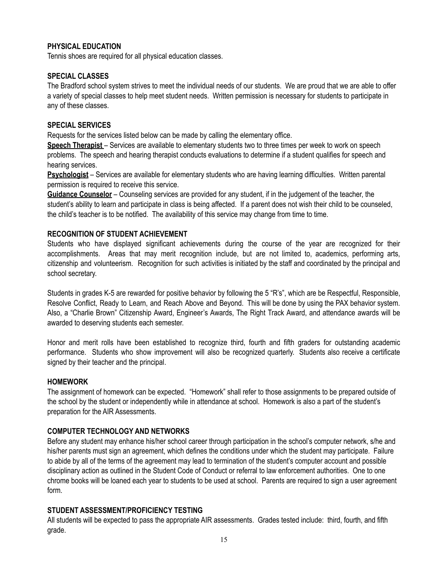## **PHYSICAL EDUCATION**

Tennis shoes are required for all physical education classes.

## **SPECIAL CLASSES**

The Bradford school system strives to meet the individual needs of our students. We are proud that we are able to offer a variety of special classes to help meet student needs. Written permission is necessary for students to participate in any of these classes.

## **SPECIAL SERVICES**

Requests for the services listed below can be made by calling the elementary office.

**Speech Therapist** – Services are available to elementary students two to three times per week to work on speech problems. The speech and hearing therapist conducts evaluations to determine if a student qualifies for speech and hearing services.

**Psychologist** – Services are available for elementary students who are having learning difficulties. Written parental permission is required to receive this service.

**Guidance Counselor** – Counseling services are provided for any student, if in the judgement of the teacher, the student's ability to learn and participate in class is being affected. If a parent does not wish their child to be counseled, the child's teacher is to be notified. The availability of this service may change from time to time.

## **RECOGNITION OF STUDENT ACHIEVEMENT**

Students who have displayed significant achievements during the course of the year are recognized for their accomplishments. Areas that may merit recognition include, but are not limited to, academics, performing arts, citizenship and volunteerism. Recognition for such activities is initiated by the staff and coordinated by the principal and school secretary.

Students in grades K-5 are rewarded for positive behavior by following the 5 "R's", which are be Respectful, Responsible, Resolve Conflict, Ready to Learn, and Reach Above and Beyond. This will be done by using the PAX behavior system. Also, a "Charlie Brown" Citizenship Award, Engineer's Awards, The Right Track Award, and attendance awards will be awarded to deserving students each semester.

Honor and merit rolls have been established to recognize third, fourth and fifth graders for outstanding academic performance. Students who show improvement will also be recognized quarterly. Students also receive a certificate signed by their teacher and the principal.

## **HOMEWORK**

The assignment of homework can be expected. "Homework" shall refer to those assignments to be prepared outside of the school by the student or independently while in attendance at school. Homework is also a part of the student's preparation for the AIR Assessments.

## **COMPUTER TECHNOLOGY AND NETWORKS**

Before any student may enhance his/her school career through participation in the school's computer network, s/he and his/her parents must sign an agreement, which defines the conditions under which the student may participate. Failure to abide by all of the terms of the agreement may lead to termination of the student's computer account and possible disciplinary action as outlined in the Student Code of Conduct or referral to law enforcement authorities. One to one chrome books will be loaned each year to students to be used at school. Parents are required to sign a user agreement form.

## **STUDENT ASSESSMENT/PROFICIENCY TESTING**

All students will be expected to pass the appropriate AIR assessments. Grades tested include: third, fourth, and fifth grade.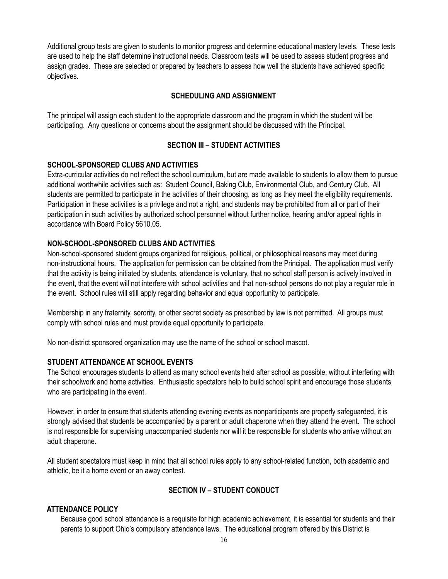Additional group tests are given to students to monitor progress and determine educational mastery levels. These tests are used to help the staff determine instructional needs. Classroom tests will be used to assess student progress and assign grades. These are selected or prepared by teachers to assess how well the students have achieved specific objectives.

## **SCHEDULING AND ASSIGNMENT**

The principal will assign each student to the appropriate classroom and the program in which the student will be participating. Any questions or concerns about the assignment should be discussed with the Principal.

## **SECTION III – STUDENT ACTIVITIES**

## **SCHOOL-SPONSORED CLUBS AND ACTIVITIES**

Extra-curricular activities do not reflect the school curriculum, but are made available to students to allow them to pursue additional worthwhile activities such as: Student Council, Baking Club, Environmental Club, and Century Club. All students are permitted to participate in the activities of their choosing, as long as they meet the eligibility requirements. Participation in these activities is a privilege and not a right, and students may be prohibited from all or part of their participation in such activities by authorized school personnel without further notice, hearing and/or appeal rights in accordance with Board Policy 5610.05.

## **NON-SCHOOL-SPONSORED CLUBS AND ACTIVITIES**

Non-school-sponsored student groups organized for religious, political, or philosophical reasons may meet during non-instructional hours. The application for permission can be obtained from the Principal. The application must verify that the activity is being initiated by students, attendance is voluntary, that no school staff person is actively involved in the event, that the event will not interfere with school activities and that non-school persons do not play a regular role in the event. School rules will still apply regarding behavior and equal opportunity to participate.

Membership in any fraternity, sorority, or other secret society as prescribed by law is not permitted. All groups must comply with school rules and must provide equal opportunity to participate.

No non-district sponsored organization may use the name of the school or school mascot.

## **STUDENT ATTENDANCE AT SCHOOL EVENTS**

The School encourages students to attend as many school events held after school as possible, without interfering with their schoolwork and home activities. Enthusiastic spectators help to build school spirit and encourage those students who are participating in the event.

However, in order to ensure that students attending evening events as nonparticipants are properly safeguarded, it is strongly advised that students be accompanied by a parent or adult chaperone when they attend the event. The school is not responsible for supervising unaccompanied students nor will it be responsible for students who arrive without an adult chaperone.

All student spectators must keep in mind that all school rules apply to any school-related function, both academic and athletic, be it a home event or an away contest.

## **SECTION IV – STUDENT CONDUCT**

#### **ATTENDANCE POLICY**

Because good school attendance is a requisite for high academic achievement, it is essential for students and their parents to support Ohio's compulsory attendance laws. The educational program offered by this District is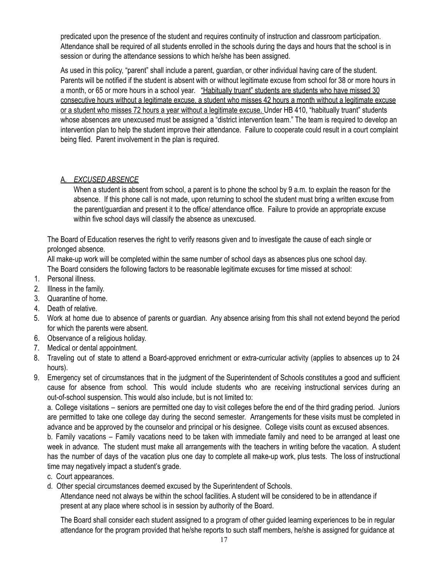predicated upon the presence of the student and requires continuity of instruction and classroom participation. Attendance shall be required of all students enrolled in the schools during the days and hours that the school is in session or during the attendance sessions to which he/she has been assigned.

As used in this policy, "parent" shall include a parent, guardian, or other individual having care of the student. Parents will be notified if the student is absent with or without legitimate excuse from school for 38 or more hours in a month, or 65 or more hours in a school year. "Habitually truant" students are students who have missed 30 consecutive hours without a legitimate excuse, a student who misses 42 hours a month without a legitimate excuse or a student who misses 72 hours a year without a legitimate excuse. Under HB 410, "habitually truant" students whose absences are unexcused must be assigned a "district intervention team." The team is required to develop an intervention plan to help the student improve their attendance. Failure to cooperate could result in a court complaint being filed. Parent involvement in the plan is required.

## A. *EXCUSED ABSENCE*

When a student is absent from school, a parent is to phone the school by 9 a.m. to explain the reason for the absence. If this phone call is not made, upon returning to school the student must bring a written excuse from the parent/guardian and present it to the office/ attendance office. Failure to provide an appropriate excuse within five school days will classify the absence as unexcused.

The Board of Education reserves the right to verify reasons given and to investigate the cause of each single or prolonged absence.

All make-up work will be completed within the same number of school days as absences plus one school day. The Board considers the following factors to be reasonable legitimate excuses for time missed at school:

- 1. Personal illness.
- 2. Illness in the family.
- 3. Quarantine of home.
- 4. Death of relative.
- 5. Work at home due to absence of parents or guardian. Any absence arising from this shall not extend beyond the period for which the parents were absent.
- 6. Observance of a religious holiday.
- 7. Medical or dental appointment.
- 8. Traveling out of state to attend a Board-approved enrichment or extra-curricular activity (applies to absences up to 24 hours).
- 9. Emergency set of circumstances that in the judgment of the Superintendent of Schools constitutes a good and sufficient cause for absence from school. This would include students who are receiving instructional services during an out-of-school suspension. This would also include, but is not limited to:

a. College visitations – seniors are permitted one day to visit colleges before the end of the third grading period. Juniors are permitted to take one college day during the second semester. Arrangements for these visits must be completed in advance and be approved by the counselor and principal or his designee. College visits count as excused absences.

b. Family vacations – Family vacations need to be taken with immediate family and need to be arranged at least one week in advance. The student must make all arrangements with the teachers in writing before the vacation. A student has the number of days of the vacation plus one day to complete all make-up work, plus tests. The loss of instructional time may negatively impact a student's grade.

- c. Court appearances.
- d. Other special circumstances deemed excused by the Superintendent of Schools.

Attendance need not always be within the school facilities. A student will be considered to be in attendance if present at any place where school is in session by authority of the Board.

The Board shall consider each student assigned to a program of other guided learning experiences to be in regular attendance for the program provided that he/she reports to such staff members, he/she is assigned for guidance at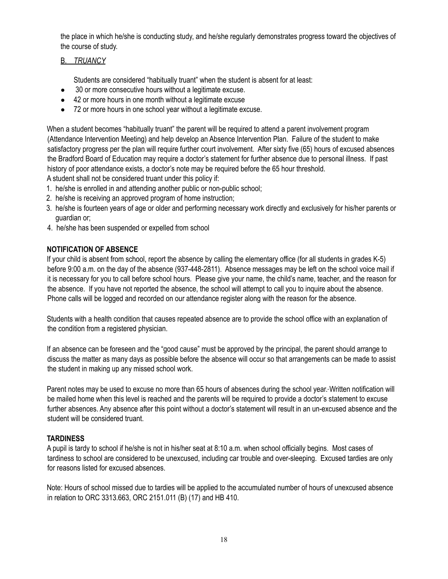the place in which he/she is conducting study, and he/she regularly demonstrates progress toward the objectives of the course of study.

## B. *TRUANCY*

Students are considered "habitually truant" when the student is absent for at least:

- 30 or more consecutive hours without a legitimate excuse.
- 42 or more hours in one month without a legitimate excuse
- 72 or more hours in one school year without a legitimate excuse.

When a student becomes "habitually truant" the parent will be required to attend a parent involvement program (Attendance Intervention Meeting) and help develop an Absence Intervention Plan. Failure of the student to make satisfactory progress per the plan will require further court involvement. After sixty five (65) hours of excused absences the Bradford Board of Education may require a doctor's statement for further absence due to personal illness. If past history of poor attendance exists, a doctor's note may be required before the 65 hour threshold.

A student shall not be considered truant under this policy if:

- 1. he/she is enrolled in and attending another public or non-public school;
- 2. he/she is receiving an approved program of home instruction;
- 3. he/she is fourteen years of age or older and performing necessary work directly and exclusively for his/her parents or guardian or;
- 4. he/she has been suspended or expelled from school

## **NOTIFICATION OF ABSENCE**

If your child is absent from school, report the absence by calling the elementary office (for all students in grades K-5) before 9:00 a.m. on the day of the absence (937-448-2811). Absence messages may be left on the school voice mail if it is necessary for you to call before school hours. Please give your name, the child's name, teacher, and the reason for the absence. If you have not reported the absence, the school will attempt to call you to inquire about the absence. Phone calls will be logged and recorded on our attendance register along with the reason for the absence.

Students with a health condition that causes repeated absence are to provide the school office with an explanation of the condition from a registered physician.

If an absence can be foreseen and the "good cause" must be approved by the principal, the parent should arrange to discuss the matter as many days as possible before the absence will occur so that arrangements can be made to assist the student in making up any missed school work.

Parent notes may be used to excuse no more than 65 hours of absences during the school year. Written notification will be mailed home when this level is reached and the parents will be required to provide a doctor's statement to excuse further absences. Any absence after this point without a doctor's statement will result in an un-excused absence and the student will be considered truant.

## **TARDINESS**

A pupil is tardy to school if he/she is not in his/her seat at 8:10 a.m. when school officially begins. Most cases of tardiness to school are considered to be unexcused, including car trouble and over-sleeping. Excused tardies are only for reasons listed for excused absences.

Note: Hours of school missed due to tardies will be applied to the accumulated number of hours of unexcused absence in relation to ORC 3313.663, ORC 2151.011 (B) (17) and HB 410.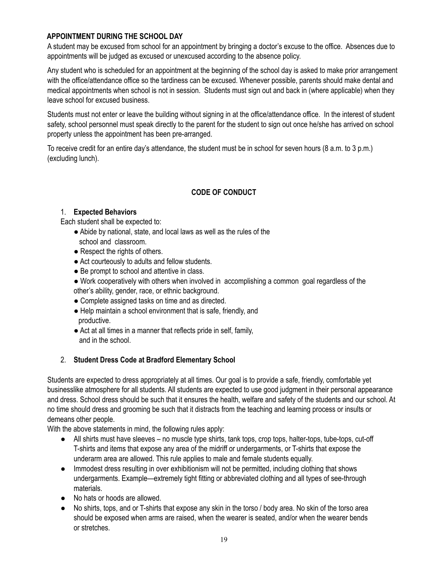## **APPOINTMENT DURING THE SCHOOL DAY**

A student may be excused from school for an appointment by bringing a doctor's excuse to the office. Absences due to appointments will be judged as excused or unexcused according to the absence policy.

Any student who is scheduled for an appointment at the beginning of the school day is asked to make prior arrangement with the office/attendance office so the tardiness can be excused. Whenever possible, parents should make dental and medical appointments when school is not in session. Students must sign out and back in (where applicable) when they leave school for excused business.

Students must not enter or leave the building without signing in at the office/attendance office. In the interest of student safety, school personnel must speak directly to the parent for the student to sign out once he/she has arrived on school property unless the appointment has been pre-arranged.

To receive credit for an entire day's attendance, the student must be in school for seven hours (8 a.m. to 3 p.m.) (excluding lunch).

## **CODE OF CONDUCT**

## 1. **Expected Behaviors**

Each student shall be expected to:

- Abide by national, state, and local laws as well as the rules of the school and classroom.
- Respect the rights of others.
- Act courteously to adults and fellow students.
- Be prompt to school and attentive in class.
- Work cooperatively with others when involved in accomplishing a common goal regardless of the other's ability, gender, race, or ethnic background.
- Complete assigned tasks on time and as directed.
- Help maintain a school environment that is safe, friendly, and productive.
- Act at all times in a manner that reflects pride in self, family, and in the school.

## 2. **Student Dress Code at Bradford Elementary School**

Students are expected to dress appropriately at all times. Our goal is to provide a safe, friendly, comfortable yet businesslike atmosphere for all students. All students are expected to use good judgment in their personal appearance and dress. School dress should be such that it ensures the health, welfare and safety of the students and our school. At no time should dress and grooming be such that it distracts from the teaching and learning process or insults or demeans other people.

With the above statements in mind, the following rules apply:

- All shirts must have sleeves no muscle type shirts, tank tops, crop tops, halter-tops, tube-tops, cut-off T-shirts and items that expose any area of the midriff or undergarments, or T-shirts that expose the underarm area are allowed. This rule applies to male and female students equally.
- Immodest dress resulting in over exhibitionism will not be permitted, including clothing that shows undergarments. Example—extremely tight fitting or abbreviated clothing and all types of see-through materials.
- No hats or hoods are allowed.
- No shirts, tops, and or T-shirts that expose any skin in the torso / body area. No skin of the torso area should be exposed when arms are raised, when the wearer is seated, and/or when the wearer bends or stretches.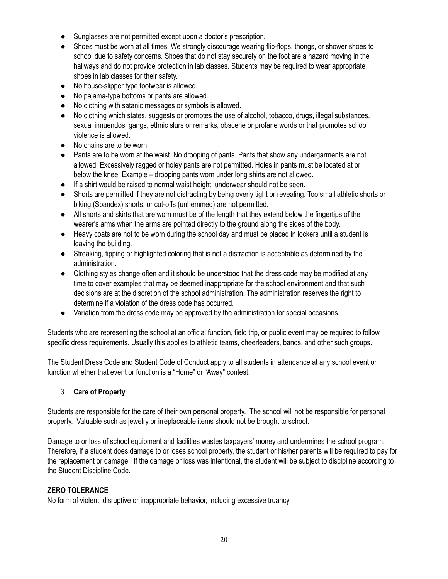- Sunglasses are not permitted except upon a doctor's prescription.
- Shoes must be worn at all times. We strongly discourage wearing flip-flops, thongs, or shower shoes to school due to safety concerns. Shoes that do not stay securely on the foot are a hazard moving in the hallways and do not provide protection in lab classes. Students may be required to wear appropriate shoes in lab classes for their safety.
- No house-slipper type footwear is allowed.
- No pajama-type bottoms or pants are allowed.
- No clothing with satanic messages or symbols is allowed.
- No clothing which states, suggests or promotes the use of alcohol, tobacco, drugs, illegal substances, sexual innuendos, gangs, ethnic slurs or remarks, obscene or profane words or that promotes school violence is allowed.
- No chains are to be worn.
- Pants are to be worn at the waist. No drooping of pants. Pants that show any undergarments are not allowed. Excessively ragged or holey pants are not permitted. Holes in pants must be located at or below the knee. Example – drooping pants worn under long shirts are not allowed.
- If a shirt would be raised to normal waist height, underwear should not be seen.
- Shorts are permitted if they are not distracting by being overly tight or revealing. Too small athletic shorts or biking (Spandex) shorts, or cut-offs (unhemmed) are not permitted.
- All shorts and skirts that are worn must be of the length that they extend below the fingertips of the wearer's arms when the arms are pointed directly to the ground along the sides of the body.
- Heavy coats are not to be worn during the school day and must be placed in lockers until a student is leaving the building.
- Streaking, tipping or highlighted coloring that is not a distraction is acceptable as determined by the administration.
- Clothing styles change often and it should be understood that the dress code may be modified at any time to cover examples that may be deemed inappropriate for the school environment and that such decisions are at the discretion of the school administration. The administration reserves the right to determine if a violation of the dress code has occurred.
- Variation from the dress code may be approved by the administration for special occasions.

Students who are representing the school at an official function, field trip, or public event may be required to follow specific dress requirements. Usually this applies to athletic teams, cheerleaders, bands, and other such groups.

The Student Dress Code and Student Code of Conduct apply to all students in attendance at any school event or function whether that event or function is a "Home" or "Away" contest.

## 3. **Care of Property**

Students are responsible for the care of their own personal property. The school will not be responsible for personal property. Valuable such as jewelry or irreplaceable items should not be brought to school.

Damage to or loss of school equipment and facilities wastes taxpayers' money and undermines the school program. Therefore, if a student does damage to or loses school property, the student or his/her parents will be required to pay for the replacement or damage. If the damage or loss was intentional, the student will be subject to discipline according to the Student Discipline Code.

## **ZERO TOLERANCE**

No form of violent, disruptive or inappropriate behavior, including excessive truancy.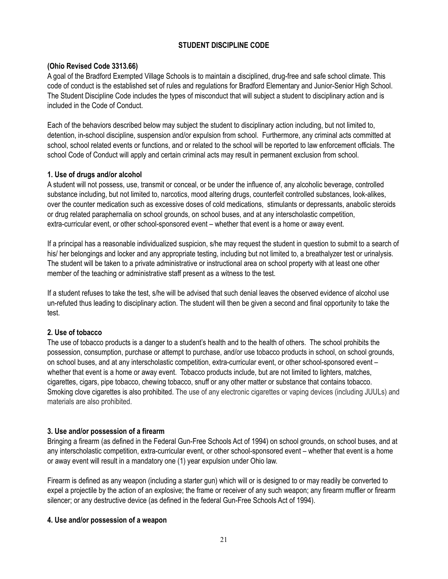## **STUDENT DISCIPLINE CODE**

## **(Ohio Revised Code 3313.66)**

A goal of the Bradford Exempted Village Schools is to maintain a disciplined, drug-free and safe school climate. This code of conduct is the established set of rules and regulations for Bradford Elementary and Junior-Senior High School. The Student Discipline Code includes the types of misconduct that will subject a student to disciplinary action and is included in the Code of Conduct.

Each of the behaviors described below may subject the student to disciplinary action including, but not limited to, detention, in-school discipline, suspension and/or expulsion from school. Furthermore, any criminal acts committed at school, school related events or functions, and or related to the school will be reported to law enforcement officials. The school Code of Conduct will apply and certain criminal acts may result in permanent exclusion from school.

## **1. Use of drugs and/or alcohol**

A student will not possess, use, transmit or conceal, or be under the influence of, any alcoholic beverage, controlled substance including, but not limited to, narcotics, mood altering drugs, counterfeit controlled substances, look-alikes, over the counter medication such as excessive doses of cold medications, stimulants or depressants, anabolic steroids or drug related paraphernalia on school grounds, on school buses, and at any interscholastic competition, extra-curricular event, or other school-sponsored event – whether that event is a home or away event.

If a principal has a reasonable individualized suspicion, s/he may request the student in question to submit to a search of his/ her belongings and locker and any appropriate testing, including but not limited to, a breathalyzer test or urinalysis. The student will be taken to a private administrative or instructional area on school property with at least one other member of the teaching or administrative staff present as a witness to the test.

If a student refuses to take the test, s/he will be advised that such denial leaves the observed evidence of alcohol use un-refuted thus leading to disciplinary action. The student will then be given a second and final opportunity to take the test.

#### **2. Use of tobacco**

The use of tobacco products is a danger to a student's health and to the health of others. The school prohibits the possession, consumption, purchase or attempt to purchase, and/or use tobacco products in school, on school grounds, on school buses, and at any interscholastic competition, extra-curricular event, or other school-sponsored event – whether that event is a home or away event. Tobacco products include, but are not limited to lighters, matches, cigarettes, cigars, pipe tobacco, chewing tobacco, snuff or any other matter or substance that contains tobacco. Smoking clove cigarettes is also prohibited. The use of any electronic cigarettes or vaping devices (including JUULs) and materials are also prohibited.

## **3. Use and/or possession of a firearm**

Bringing a firearm (as defined in the Federal Gun-Free Schools Act of 1994) on school grounds, on school buses, and at any interscholastic competition, extra-curricular event, or other school-sponsored event – whether that event is a home or away event will result in a mandatory one (1) year expulsion under Ohio law.

Firearm is defined as any weapon (including a starter gun) which will or is designed to or may readily be converted to expel a projectile by the action of an explosive; the frame or receiver of any such weapon; any firearm muffler or firearm silencer; or any destructive device (as defined in the federal Gun-Free Schools Act of 1994).

## **4. Use and/or possession of a weapon**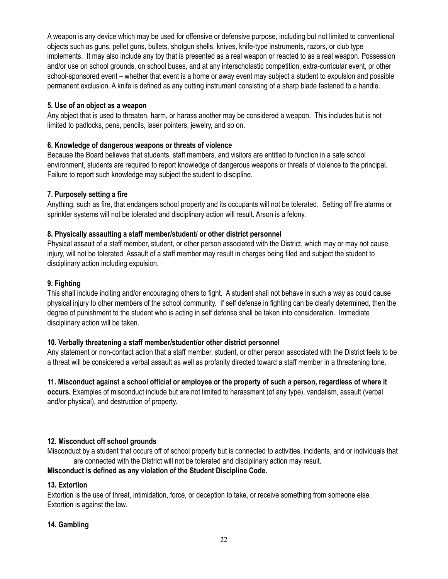A weapon is any device which may be used for offensive or defensive purpose, including but not limited to conventional objects such as guns, pellet guns, bullets, shotgun shells, knives, knife-type instruments, razors, or club type implements. It may also include any toy that is presented as a real weapon or reacted to as a real weapon. Possession and/or use on school grounds, on school buses, and at any interscholastic competition, extra-curricular event, or other school-sponsored event – whether that event is a home or away event may subject a student to expulsion and possible permanent exclusion. A knife is defined as any cutting instrument consisting of a sharp blade fastened to a handle.

## **5. Use of an object as a weapon**

Any object that is used to threaten, harm, or harass another may be considered a weapon. This includes but is not limited to padlocks, pens, pencils, laser pointers, jewelry, and so on.

## **6. Knowledge of dangerous weapons or threats of violence**

Because the Board believes that students, staff members, and visitors are entitled to function in a safe school environment, students are required to report knowledge of dangerous weapons or threats of violence to the principal. Failure to report such knowledge may subject the student to discipline.

## **7. Purposely setting a fire**

Anything, such as fire, that endangers school property and its occupants will not be tolerated. Setting off fire alarms or sprinkler systems will not be tolerated and disciplinary action will result. Arson is a felony.

## **8. Physically assaulting a staff member/student/ or other district personnel**

Physical assault of a staff member, student, or other person associated with the District, which may or may not cause injury, will not be tolerated. Assault of a staff member may result in charges being filed and subject the student to disciplinary action including expulsion.

## **9. Fighting**

This shall include inciting and/or encouraging others to fight. A student shall not behave in such a way as could cause physical injury to other members of the school community. If self defense in fighting can be clearly determined, then the degree of punishment to the student who is acting in self defense shall be taken into consideration. Immediate disciplinary action will be taken.

## **10. Verbally threatening a staff member/student/or other district personnel**

Any statement or non-contact action that a staff member, student, or other person associated with the District feels to be a threat will be considered a verbal assault as well as profanity directed toward a staff member in a threatening tone.

11. Misconduct against a school official or employee or the property of such a person, regardless of where it **occurs.** Examples of misconduct include but are not limited to harassment (of any type), vandalism, assault (verbal and/or physical), and destruction of property.

#### **12. Misconduct off school grounds**

Misconduct by a student that occurs off of school property but is connected to activities, incidents, and or individuals that are connected with the District will not be tolerated and disciplinary action may result.

#### **Misconduct is defined as any violation of the Student Discipline Code.**

## **13. Extortion**

Extortion is the use of threat, intimidation, force, or deception to take, or receive something from someone else. Extortion is against the law.

## **14. Gambling**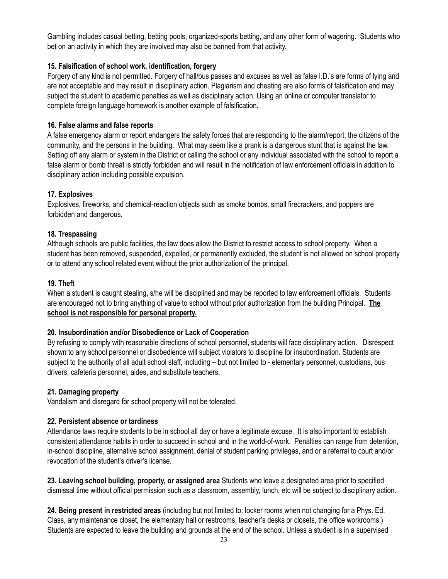Gambling includes casual betting, betting pools, organized-sports betting, and any other form of wagering. Students who bet on an activity in which they are involved may also be banned from that activity.

## **15. Falsification of school work, identification, forgery**

Forgery of any kind is not permitted. Forgery of hall/bus passes and excuses as well as false I.D.'s are forms of lying and are not acceptable and may result in disciplinary action. Plagiarism and cheating are also forms of falsification and may subject the student to academic penalties as well as disciplinary action. Using an online or computer translator to complete foreign language homework is another example of falsification.

## **16. False alarms and false reports**

A false emergency alarm or report endangers the safety forces that are responding to the alarm/report, the citizens of the community, and the persons in the building. What may seem like a prank is a dangerous stunt that is against the law. Setting off any alarm or system in the District or calling the school or any individual associated with the school to report a false alarm or bomb threat is strictly forbidden and will result in the notification of law enforcement officials in addition to disciplinary action including possible expulsion.

## **17. Explosives**

Explosives, fireworks, and chemical-reaction objects such as smoke bombs, small firecrackers, and poppers are forbidden and dangerous.

## **18. Trespassing**

Although schools are public facilities, the law does allow the District to restrict access to school property. When a student has been removed, suspended, expelled, or permanently excluded, the student is not allowed on school property or to attend any school related event without the prior authorization of the principal.

## **19. Theft**

When a student is caught stealing**,** s/he will be disciplined and may be reported to law enforcement officials. Students are encouraged not to bring anything of value to school without prior authorization from the building Principal. **The school is not responsible for personal property.**

#### **20. Insubordination and/or Disobedience or Lack of Cooperation**

By refusing to comply with reasonable directions of school personnel, students will face disciplinary action. Disrespect shown to any school personnel or disobedience will subject violators to discipline for insubordination. Students are subject to the authority of all adult school staff, including – but not limited to - elementary personnel, custodians, bus drivers, cafeteria personnel, aides, and substitute teachers.

#### **21. Damaging property**

Vandalism and disregard for school property will not be tolerated.

#### **22. Persistent absence or tardiness**

Attendance laws require students to be in school all day or have a legitimate excuse. It is also important to establish consistent attendance habits in order to succeed in school and in the world-of-work. Penalties can range from detention, in-school discipline, alternative school assignment, denial of student parking privileges, and or a referral to court and/or revocation of the student's driver's license.

**23. Leaving school building, property, or assigned area** Students who leave a designated area prior to specified dismissal time without official permission such as a classroom, assembly, lunch, etc will be subject to disciplinary action.

**24. Being present in restricted areas** (including but not limited to: locker rooms when not changing for a Phys. Ed. Class, any maintenance closet, the elementary hall or restrooms, teacher's desks or closets, the office workrooms.) Students are expected to leave the building and grounds at the end of the school. Unless a student is in a supervised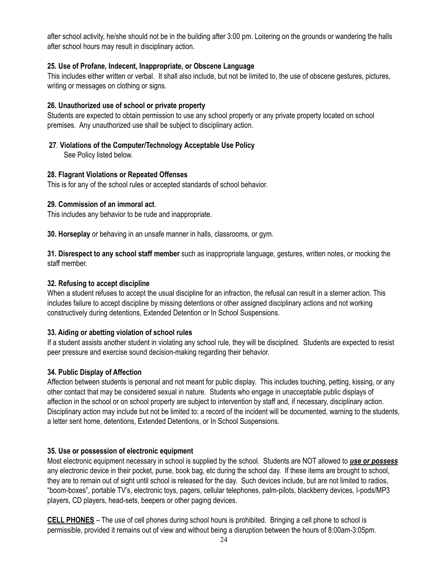after school activity, he/she should not be in the building after 3:00 pm. Loitering on the grounds or wandering the halls after school hours may result in disciplinary action.

## **25. Use of Profane, Indecent, Inappropriate, or Obscene Language**

This includes either written or verbal. It shall also include, but not be limited to, the use of obscene gestures, pictures, writing or messages on clothing or signs.

## **26. Unauthorized use of school or private property**

Students are expected to obtain permission to use any school property or any private property located on school premises. Any unauthorized use shall be subject to disciplinary action.

**27**. **Violations of the Computer/Technology Acceptable Use Policy**

See Policy listed below.

## **28. Flagrant Violations or Repeated Offenses**

This is for any of the school rules or accepted standards of school behavior.

## **29. Commission of an immoral act**.

This includes any behavior to be rude and inappropriate.

**30. Horseplay** or behaving in an unsafe manner in halls, classrooms, or gym.

**31. Disrespect to any school staff member** such as inappropriate language, gestures, written notes, or mocking the staff member.

## **32. Refusing to accept discipline**

When a student refuses to accept the usual discipline for an infraction, the refusal can result in a sterner action. This includes failure to accept discipline by missing detentions or other assigned disciplinary actions and not working constructively during detentions, Extended Detention or In School Suspensions.

## **33. Aiding or abetting violation of school rules**

If a student assists another student in violating any school rule, they will be disciplined. Students are expected to resist peer pressure and exercise sound decision-making regarding their behavior.

## **34. Public Display of Affection**

Affection between students is personal and not meant for public display. This includes touching, petting, kissing, or any other contact that may be considered sexual in nature. Students who engage in unacceptable public displays of affection in the school or on school property are subject to intervention by staff and, if necessary, disciplinary action. Disciplinary action may include but not be limited to: a record of the incident will be documented, warning to the students, a letter sent home, detentions, Extended Detentions, or In School Suspensions.

## **35. Use or possession of electronic equipment**

Most electronic equipment necessary in school is supplied by the school. Students are NOT allowed to *use or possess* any electronic device in their pocket, purse, book bag, etc during the school day. If these items are brought to school, they are to remain out of sight until school is released for the day. Such devices include, but are not limited to radios, "boom-boxes", portable TV's, electronic toys, pagers, cellular telephones, palm-pilots, blackberry devices, I-pods/MP3 players, CD players, head-sets, beepers or other paging devices.

**CELL PHONES** – The use of cell phones during school hours is prohibited. Bringing a cell phone to school is permissible, provided it remains out of view and without being a disruption between the hours of 8:00am-3:05pm.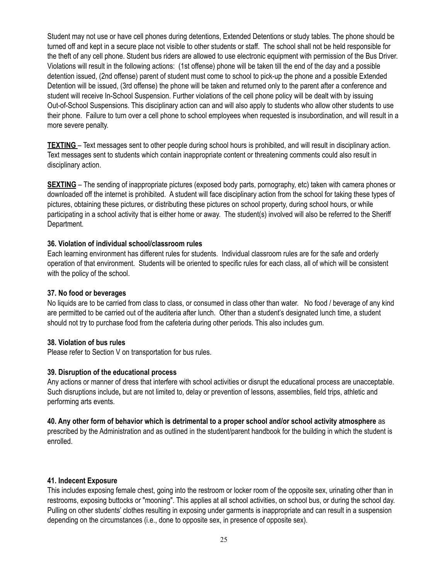Student may not use or have cell phones during detentions, Extended Detentions or study tables. The phone should be turned off and kept in a secure place not visible to other students or staff. The school shall not be held responsible for the theft of any cell phone. Student bus riders are allowed to use electronic equipment with permission of the Bus Driver. Violations will result in the following actions: (1st offense) phone will be taken till the end of the day and a possible detention issued, (2nd offense) parent of student must come to school to pick-up the phone and a possible Extended Detention will be issued, (3rd offense) the phone will be taken and returned only to the parent after a conference and student will receive In-School Suspension. Further violations of the cell phone policy will be dealt with by issuing Out-of-School Suspensions. This disciplinary action can and will also apply to students who allow other students to use their phone. Failure to turn over a cell phone to school employees when requested is insubordination, and will result in a more severe penalty.

**TEXTING** – Text messages sent to other people during school hours is prohibited, and will result in disciplinary action. Text messages sent to students which contain inappropriate content or threatening comments could also result in disciplinary action.

**SEXTING** – The sending of inappropriate pictures (exposed body parts, pornography, etc) taken with camera phones or downloaded off the internet is prohibited. A student will face disciplinary action from the school for taking these types of pictures, obtaining these pictures, or distributing these pictures on school property, during school hours, or while participating in a school activity that is either home or away. The student(s) involved will also be referred to the Sheriff Department.

#### **36. Violation of individual school/classroom rules**

Each learning environment has different rules for students. Individual classroom rules are for the safe and orderly operation of that environment. Students will be oriented to specific rules for each class, all of which will be consistent with the policy of the school.

### **37. No food or beverages**

No liquids are to be carried from class to class, or consumed in class other than water. No food / beverage of any kind are permitted to be carried out of the auditeria after lunch. Other than a student's designated lunch time, a student should not try to purchase food from the cafeteria during other periods. This also includes gum.

#### **38. Violation of bus rules**

Please refer to Section V on transportation for bus rules.

## **39. Disruption of the educational process**

Any actions or manner of dress that interfere with school activities or disrupt the educational process are unacceptable. Such disruptions include**,** but are not limited to, delay or prevention of lessons, assemblies, field trips, athletic and performing arts events.

## 40. Any other form of behavior which is detrimental to a proper school and/or school activity atmosphere as

prescribed by the Administration and as outlined in the student/parent handbook for the building in which the student is enrolled.

#### **41. Indecent Exposure**

This includes exposing female chest, going into the restroom or locker room of the opposite sex, urinating other than in restrooms, exposing buttocks or "mooning". This applies at all school activities, on school bus, or during the school day. Pulling on other students' clothes resulting in exposing under garments is inappropriate and can result in a suspension depending on the circumstances (i.e., done to opposite sex, in presence of opposite sex).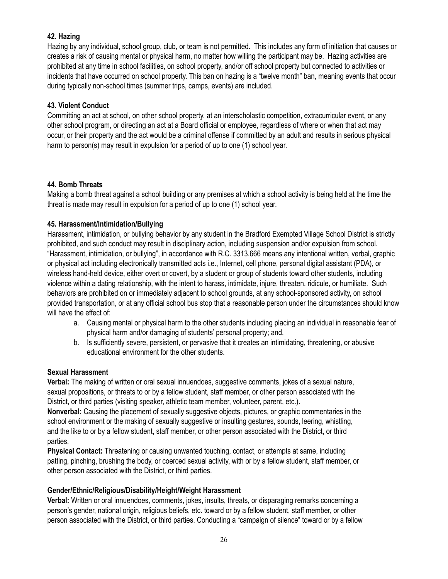## **42. Hazing**

Hazing by any individual, school group, club, or team is not permitted. This includes any form of initiation that causes or creates a risk of causing mental or physical harm, no matter how willing the participant may be. Hazing activities are prohibited at any time in school facilities, on school property, and/or off school property but connected to activities or incidents that have occurred on school property. This ban on hazing is a "twelve month" ban, meaning events that occur during typically non-school times (summer trips, camps, events) are included.

## **43. Violent Conduct**

Committing an act at school, on other school property, at an interscholastic competition, extracurricular event, or any other school program, or directing an act at a Board official or employee, regardless of where or when that act may occur, or their property and the act would be a criminal offense if committed by an adult and results in serious physical harm to person(s) may result in expulsion for a period of up to one (1) school year.

## **44. Bomb Threats**

Making a bomb threat against a school building or any premises at which a school activity is being held at the time the threat is made may result in expulsion for a period of up to one (1) school year.

## **45. Harassment/Intimidation/Bullying**

Harassment, intimidation, or bullying behavior by any student in the Bradford Exempted Village School District is strictly prohibited, and such conduct may result in disciplinary action, including suspension and/or expulsion from school. "Harassment, intimidation, or bullying", in accordance with R.C. 3313.666 means any intentional written, verbal, graphic or physical act including electronically transmitted acts i.e., Internet, cell phone, personal digital assistant (PDA), or wireless hand-held device, either overt or covert, by a student or group of students toward other students, including violence within a dating relationship, with the intent to harass, intimidate, injure, threaten, ridicule, or humiliate. Such behaviors are prohibited on or immediately adjacent to school grounds, at any school-sponsored activity, on school provided transportation, or at any official school bus stop that a reasonable person under the circumstances should know will have the effect of:

- a. Causing mental or physical harm to the other students including placing an individual in reasonable fear of physical harm and/or damaging of students' personal property; and,
- b. Is sufficiently severe, persistent, or pervasive that it creates an intimidating, threatening, or abusive educational environment for the other students.

#### **Sexual Harassment**

**Verbal:** The making of written or oral sexual innuendoes, suggestive comments, jokes of a sexual nature, sexual propositions, or threats to or by a fellow student, staff member, or other person associated with the District, or third parties (visiting speaker, athletic team member, volunteer, parent, etc.).

**Nonverbal:** Causing the placement of sexually suggestive objects, pictures, or graphic commentaries in the school environment or the making of sexually suggestive or insulting gestures, sounds, leering, whistling, and the like to or by a fellow student, staff member, or other person associated with the District, or third parties.

**Physical Contact:** Threatening or causing unwanted touching, contact, or attempts at same, including patting, pinching, brushing the body, or coerced sexual activity, with or by a fellow student, staff member, or other person associated with the District, or third parties.

## **Gender/Ethnic/Religious/Disability/Height/Weight Harassment**

**Verbal:** Written or oral innuendoes, comments, jokes, insults, threats, or disparaging remarks concerning a person's gender, national origin, religious beliefs, etc. toward or by a fellow student, staff member, or other person associated with the District, or third parties. Conducting a "campaign of silence" toward or by a fellow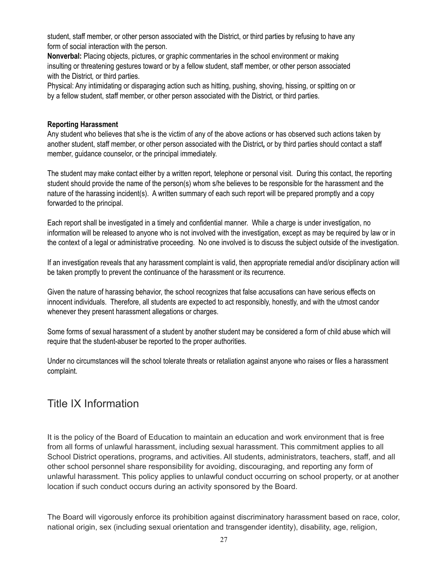student, staff member, or other person associated with the District, or third parties by refusing to have any form of social interaction with the person.

**Nonverbal:** Placing objects, pictures, or graphic commentaries in the school environment or making insulting or threatening gestures toward or by a fellow student, staff member, or other person associated with the District*,* or third parties.

Physical: Any intimidating or disparaging action such as hitting, pushing, shoving, hissing, or spitting on or by a fellow student, staff member, or other person associated with the District*,* or third parties.

## **Reporting Harassment**

Any student who believes that s/he is the victim of any of the above actions or has observed such actions taken by another student, staff member, or other person associated with the District*,* or by third parties should contact a staff member, guidance counselor, or the principal immediately.

The student may make contact either by a written report, telephone or personal visit. During this contact, the reporting student should provide the name of the person(s) whom s/he believes to be responsible for the harassment and the nature of the harassing incident(s). A written summary of each such report will be prepared promptly and a copy forwarded to the principal.

Each report shall be investigated in a timely and confidential manner. While a charge is under investigation, no information will be released to anyone who is not involved with the investigation, except as may be required by law or in the context of a legal or administrative proceeding. No one involved is to discuss the subject outside of the investigation.

If an investigation reveals that any harassment complaint is valid, then appropriate remedial and/or disciplinary action will be taken promptly to prevent the continuance of the harassment or its recurrence.

Given the nature of harassing behavior, the school recognizes that false accusations can have serious effects on innocent individuals. Therefore, all students are expected to act responsibly, honestly, and with the utmost candor whenever they present harassment allegations or charges.

Some forms of sexual harassment of a student by another student may be considered a form of child abuse which will require that the student-abuser be reported to the proper authorities.

Under no circumstances will the school tolerate threats or retaliation against anyone who raises or files a harassment complaint.

## Title IX Information

It is the policy of the Board of Education to maintain an education and work environment that is free from all forms of unlawful harassment, including sexual harassment. This commitment applies to all School District operations, programs, and activities. All students, administrators, teachers, staff, and all other school personnel share responsibility for avoiding, discouraging, and reporting any form of unlawful harassment. This policy applies to unlawful conduct occurring on school property, or at another location if such conduct occurs during an activity sponsored by the Board.

The Board will vigorously enforce its prohibition against discriminatory harassment based on race, color, national origin, sex (including sexual orientation and transgender identity), disability, age, religion,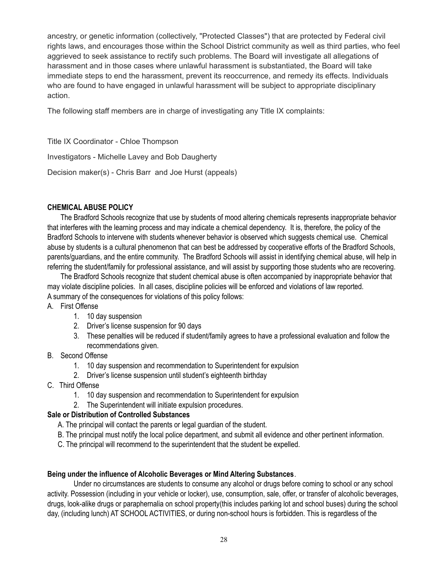ancestry, or genetic information (collectively, "Protected Classes") that are protected by Federal civil rights laws, and encourages those within the School District community as well as third parties, who feel aggrieved to seek assistance to rectify such problems. The Board will investigate all allegations of harassment and in those cases where unlawful harassment is substantiated, the Board will take immediate steps to end the harassment, prevent its reoccurrence, and remedy its effects. Individuals who are found to have engaged in unlawful harassment will be subject to appropriate disciplinary action.

The following staff members are in charge of investigating any Title IX complaints:

Title IX Coordinator - Chloe Thompson

Investigators - Michelle Lavey and Bob Daugherty

Decision maker(s) - Chris Barr and Joe Hurst (appeals)

## **CHEMICAL ABUSE POLICY**

The Bradford Schools recognize that use by students of mood altering chemicals represents inappropriate behavior that interferes with the learning process and may indicate a chemical dependency. It is, therefore, the policy of the Bradford Schools to intervene with students whenever behavior is observed which suggests chemical use. Chemical abuse by students is a cultural phenomenon that can best be addressed by cooperative efforts of the Bradford Schools, parents/guardians, and the entire community. The Bradford Schools will assist in identifying chemical abuse, will help in referring the student/family for professional assistance, and will assist by supporting those students who are recovering.

The Bradford Schools recognize that student chemical abuse is often accompanied by inappropriate behavior that may violate discipline policies. In all cases, discipline policies will be enforced and violations of law reported. A summary of the consequences for violations of this policy follows:

#### A. First Offense

- 1. 10 day suspension
- 2. Driver's license suspension for 90 days
- 3. These penalties will be reduced if student/family agrees to have a professional evaluation and follow the recommendations given.

## B. Second Offense

- 1. 10 day suspension and recommendation to Superintendent for expulsion
- 2. Driver's license suspension until student's eighteenth birthday
- C. Third Offense
	- 1. 10 day suspension and recommendation to Superintendent for expulsion
	- 2. The Superintendent will initiate expulsion procedures.

#### **Sale or Distribution of Controlled Substances**

- A. The principal will contact the parents or legal guardian of the student.
- B. The principal must notify the local police department, and submit all evidence and other pertinent information.
- C. The principal will recommend to the superintendent that the student be expelled.

#### **Being under the influence of Alcoholic Beverages or Mind Altering Substances**.

Under no circumstances are students to consume any alcohol or drugs before coming to school or any school activity. Possession (including in your vehicle or locker), use, consumption, sale, offer, or transfer of alcoholic beverages, drugs, look-alike drugs or paraphernalia on school property(this includes parking lot and school buses) during the school day, (including lunch) AT SCHOOL ACTIVITIES, or during non-school hours is forbidden. This is regardless of the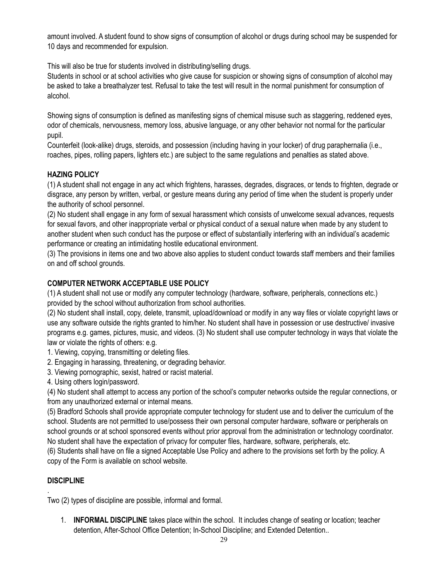amount involved. A student found to show signs of consumption of alcohol or drugs during school may be suspended for 10 days and recommended for expulsion.

This will also be true for students involved in distributing/selling drugs.

Students in school or at school activities who give cause for suspicion or showing signs of consumption of alcohol may be asked to take a breathalyzer test. Refusal to take the test will result in the normal punishment for consumption of alcohol.

Showing signs of consumption is defined as manifesting signs of chemical misuse such as staggering, reddened eyes, odor of chemicals, nervousness, memory loss, abusive language, or any other behavior not normal for the particular pupil.

Counterfeit (look-alike) drugs, steroids, and possession (including having in your locker) of drug paraphernalia (i.e., roaches, pipes, rolling papers, lighters etc.) are subject to the same regulations and penalties as stated above.

## **HAZING POLICY**

(1) A student shall not engage in any act which frightens, harasses, degrades, disgraces, or tends to frighten, degrade or disgrace, any person by written, verbal, or gesture means during any period of time when the student is properly under the authority of school personnel.

(2) No student shall engage in any form of sexual harassment which consists of unwelcome sexual advances, requests for sexual favors, and other inappropriate verbal or physical conduct of a sexual nature when made by any student to another student when such conduct has the purpose or effect of substantially interfering with an individual's academic performance or creating an intimidating hostile educational environment.

(3) The provisions in items one and two above also applies to student conduct towards staff members and their families on and off school grounds.

## **COMPUTER NETWORK ACCEPTABLE USE POLICY**

(1) A student shall not use or modify any computer technology (hardware, software, peripherals, connections etc.) provided by the school without authorization from school authorities.

(2) No student shall install, copy, delete, transmit, upload/download or modify in any way files or violate copyright laws or use any software outside the rights granted to him/her. No student shall have in possession or use destructive/ invasive programs e.g. games, pictures, music, and videos. (3) No student shall use computer technology in ways that violate the law or violate the rights of others: e.g.

- 1. Viewing, copying, transmitting or deleting files.
- 2. Engaging in harassing, threatening, or degrading behavior.
- 3. Viewing pornographic, sexist, hatred or racist material.
- 4. Using others login/password.

(4) No student shall attempt to access any portion of the school's computer networks outside the regular connections, or from any unauthorized external or internal means.

(5) Bradford Schools shall provide appropriate computer technology for student use and to deliver the curriculum of the school. Students are not permitted to use/possess their own personal computer hardware, software or peripherals on school grounds or at school sponsored events without prior approval from the administration or technology coordinator. No student shall have the expectation of privacy for computer files, hardware, software, peripherals, etc.

(6) Students shall have on file a signed Acceptable Use Policy and adhere to the provisions set forth by the policy. A copy of the Form is available on school website.

## **DISCIPLINE**

.

Two (2) types of discipline are possible, informal and formal.

1. **INFORMAL DISCIPLINE** takes place within the school. It includes change of seating or location; teacher detention, After-School Office Detention; In-School Discipline; and Extended Detention..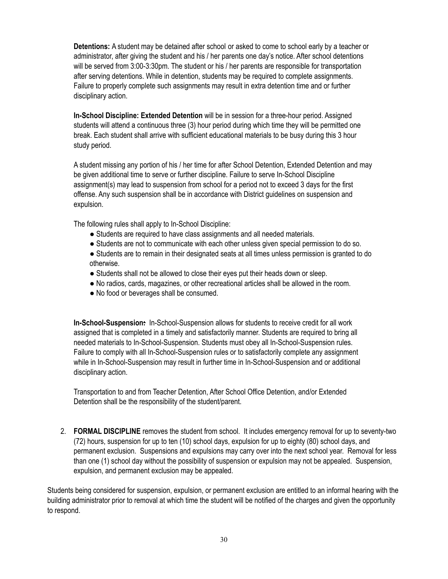**Detentions:** A student may be detained after school or asked to come to school early by a teacher or administrator, after giving the student and his / her parents one day's notice. After school detentions will be served from 3:00-3:30pm. The student or his / her parents are responsible for transportation after serving detentions. While in detention, students may be required to complete assignments. Failure to properly complete such assignments may result in extra detention time and or further disciplinary action.

**In-School Discipline: Extended Detention** will be in session for a three-hour period. Assigned students will attend a continuous three (3) hour period during which time they will be permitted one break. Each student shall arrive with sufficient educational materials to be busy during this 3 hour study period.

A student missing any portion of his / her time for after School Detention, Extended Detention and may be given additional time to serve or further discipline. Failure to serve In-School Discipline assignment(s) may lead to suspension from school for a period not to exceed 3 days for the first offense. Any such suspension shall be in accordance with District guidelines on suspension and expulsion.

The following rules shall apply to In-School Discipline:

- Students are required to have class assignments and all needed materials.
- Students are not to communicate with each other unless given special permission to do so.
- Students are to remain in their designated seats at all times unless permission is granted to do otherwise.
- Students shall not be allowed to close their eyes put their heads down or sleep.
- No radios, cards, magazines, or other recreational articles shall be allowed in the room.
- No food or beverages shall be consumed.

**In-School-Suspension:** In-School-Suspension allows for students to receive credit for all work assigned that is completed in a timely and satisfactorily manner. Students are required to bring all needed materials to In-School-Suspension. Students must obey all In-School-Suspension rules. Failure to comply with all In-School-Suspension rules or to satisfactorily complete any assignment while in In-School-Suspension may result in further time in In-School-Suspension and or additional disciplinary action.

Transportation to and from Teacher Detention, After School Office Detention, and/or Extended Detention shall be the responsibility of the student/parent.

2. **FORMAL DISCIPLINE** removes the student from school. It includes emergency removal for up to seventy-two (72) hours, suspension for up to ten (10) school days, expulsion for up to eighty (80) school days, and permanent exclusion. Suspensions and expulsions may carry over into the next school year. Removal for less than one (1) school day without the possibility of suspension or expulsion may not be appealed. Suspension, expulsion, and permanent exclusion may be appealed.

Students being considered for suspension, expulsion, or permanent exclusion are entitled to an informal hearing with the building administrator prior to removal at which time the student will be notified of the charges and given the opportunity to respond.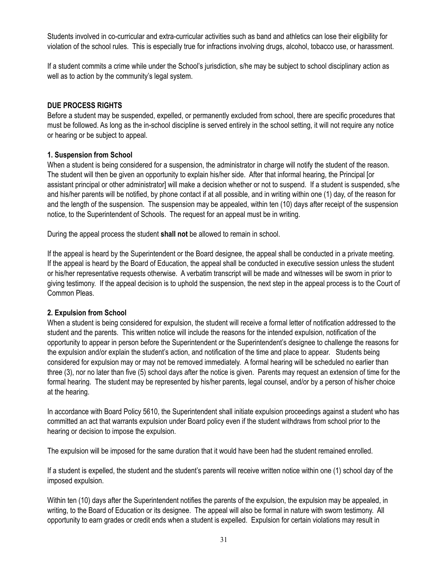Students involved in co-curricular and extra-curricular activities such as band and athletics can lose their eligibility for violation of the school rules. This is especially true for infractions involving drugs, alcohol, tobacco use, or harassment.

If a student commits a crime while under the School's jurisdiction, s/he may be subject to school disciplinary action as well as to action by the community's legal system.

## **DUE PROCESS RIGHTS**

Before a student may be suspended, expelled, or permanently excluded from school, there are specific procedures that must be followed. As long as the in-school discipline is served entirely in the school setting, it will not require any notice or hearing or be subject to appeal.

## **1. Suspension from School**

When a student is being considered for a suspension, the administrator in charge will notify the student of the reason. The student will then be given an opportunity to explain his/her side. After that informal hearing, the Principal [or assistant principal or other administrator] will make a decision whether or not to suspend. If a student is suspended, s/he and his/her parents will be notified, by phone contact if at all possible, and in writing within one (1) day, of the reason for and the length of the suspension. The suspension may be appealed, within ten (10) days after receipt of the suspension notice, to the Superintendent of Schools. The request for an appeal must be in writing.

During the appeal process the student **shall not** be allowed to remain in school.

If the appeal is heard by the Superintendent or the Board designee, the appeal shall be conducted in a private meeting. If the appeal is heard by the Board of Education, the appeal shall be conducted in executive session unless the student or his/her representative requests otherwise. A verbatim transcript will be made and witnesses will be sworn in prior to giving testimony. If the appeal decision is to uphold the suspension, the next step in the appeal process is to the Court of Common Pleas.

## **2. Expulsion from School**

When a student is being considered for expulsion, the student will receive a formal letter of notification addressed to the student and the parents. This written notice will include the reasons for the intended expulsion, notification of the opportunity to appear in person before the Superintendent or the Superintendent's designee to challenge the reasons for the expulsion and/or explain the student's action, and notification of the time and place to appear. Students being considered for expulsion may or may not be removed immediately. A formal hearing will be scheduled no earlier than three (3), nor no later than five (5) school days after the notice is given. Parents may request an extension of time for the formal hearing. The student may be represented by his/her parents, legal counsel, and/or by a person of his/her choice at the hearing.

In accordance with Board Policy 5610, the Superintendent shall initiate expulsion proceedings against a student who has committed an act that warrants expulsion under Board policy even if the student withdraws from school prior to the hearing or decision to impose the expulsion.

The expulsion will be imposed for the same duration that it would have been had the student remained enrolled.

If a student is expelled, the student and the student's parents will receive written notice within one (1) school day of the imposed expulsion.

Within ten (10) days after the Superintendent notifies the parents of the expulsion, the expulsion may be appealed, in writing, to the Board of Education or its designee. The appeal will also be formal in nature with sworn testimony. All opportunity to earn grades or credit ends when a student is expelled. Expulsion for certain violations may result in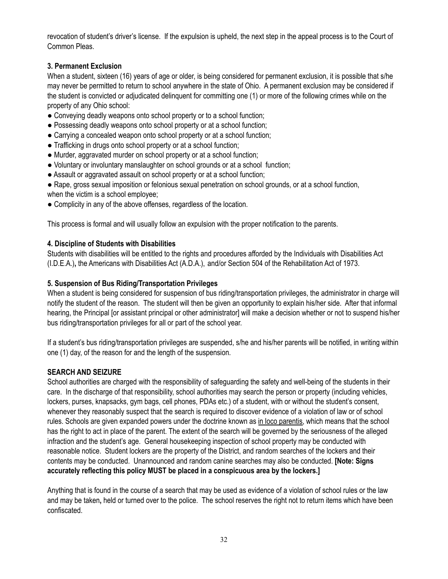revocation of student's driver's license. If the expulsion is upheld, the next step in the appeal process is to the Court of Common Pleas.

## **3. Permanent Exclusion**

When a student, sixteen (16) years of age or older, is being considered for permanent exclusion, it is possible that s/he may never be permitted to return to school anywhere in the state of Ohio. A permanent exclusion may be considered if the student is convicted or adjudicated delinquent for committing one (1) or more of the following crimes while on the property of any Ohio school:

- Conveying deadly weapons onto school property or to a school function;
- Possessing deadly weapons onto school property or at a school function;
- Carrying a concealed weapon onto school property or at a school function;
- Trafficking in drugs onto school property or at a school function;
- Murder, aggravated murder on school property or at a school function;
- Voluntary or involuntary manslaughter on school grounds or at a school function;
- Assault or aggravated assault on school property or at a school function;
- Rape, gross sexual imposition or felonious sexual penetration on school grounds, or at a school function, when the victim is a school employee;
- Complicity in any of the above offenses, regardless of the location.

This process is formal and will usually follow an expulsion with the proper notification to the parents.

## **4. Discipline of Students with Disabilities**

Students with disabilities will be entitled to the rights and procedures afforded by the Individuals with Disabilities Act (I.D.E.A.)**,** the Americans with Disabilities Act (A.D.A.), and/or Section 504 of the Rehabilitation Act of 1973.

## **5. Suspension of Bus Riding/Transportation Privileges**

When a student is being considered for suspension of bus riding/transportation privileges, the administrator in charge will notify the student of the reason. The student will then be given an opportunity to explain his/her side. After that informal hearing, the Principal [or assistant principal or other administrator] will make a decision whether or not to suspend his/her bus riding/transportation privileges for all or part of the school year.

If a student's bus riding/transportation privileges are suspended, s/he and his/her parents will be notified, in writing within one (1) day, of the reason for and the length of the suspension.

## **SEARCH AND SEIZURE**

School authorities are charged with the responsibility of safeguarding the safety and well-being of the students in their care. In the discharge of that responsibility, school authorities may search the person or property (including vehicles, lockers, purses, knapsacks, gym bags, cell phones, PDAs etc.) of a student, with or without the student's consent, whenever they reasonably suspect that the search is required to discover evidence of a violation of law or of school rules. Schools are given expanded powers under the doctrine known as in loco parentis, which means that the school has the right to act in place of the parent. The extent of the search will be governed by the seriousness of the alleged infraction and the student's age. General housekeeping inspection of school property may be conducted with reasonable notice. Student lockers are the property of the District, and random searches of the lockers and their contents may be conducted. Unannounced and random canine searches may also be conducted. **[Note: Signs accurately reflecting this policy MUST be placed in a conspicuous area by the lockers.]**

Anything that is found in the course of a search that may be used as evidence of a violation of school rules or the law and may be taken**,** held or turned over to the police. The school reserves the right not to return items which have been confiscated.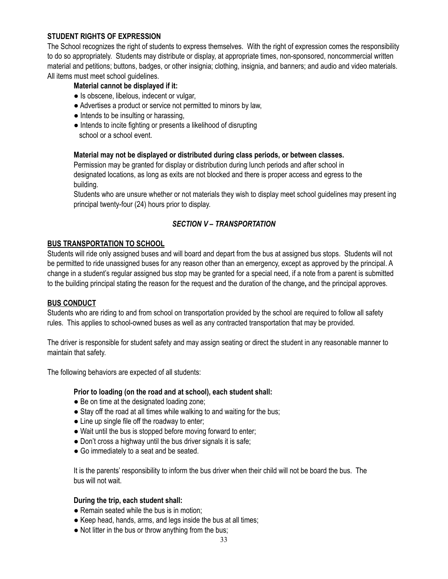## **STUDENT RIGHTS OF EXPRESSION**

The School recognizes the right of students to express themselves. With the right of expression comes the responsibility to do so appropriately. Students may distribute or display, at appropriate times, non-sponsored, noncommercial written material and petitions; buttons, badges, or other insignia; clothing, insignia, and banners; and audio and video materials. All items must meet school guidelines.

## **Material cannot be displayed if it:**

- Is obscene, libelous, indecent or vulgar,
- Advertises a product or service not permitted to minors by law,
- Intends to be insulting or harassing,
- Intends to incite fighting or presents a likelihood of disrupting school or a school event.

## **Material may not be displayed or distributed during class periods, or between classes.**

Permission may be granted for display or distribution during lunch periods and after school in designated locations, as long as exits are not blocked and there is proper access and egress to the building.

Students who are unsure whether or not materials they wish to display meet school guidelines may present ing principal twenty-four (24) hours prior to display.

## *SECTION V – TRANSPORTATION*

## **BUS TRANSPORTATION TO SCHOOL**

Students will ride only assigned buses and will board and depart from the bus at assigned bus stops. Students will not be permitted to ride unassigned buses for any reason other than an emergency, except as approved by the principal. A change in a student's regular assigned bus stop may be granted for a special need, if a note from a parent is submitted to the building principal stating the reason for the request and the duration of the change**,** and the principal approves.

#### **BUS CONDUCT**

Students who are riding to and from school on transportation provided by the school are required to follow all safety rules. This applies to school-owned buses as well as any contracted transportation that may be provided.

The driver is responsible for student safety and may assign seating or direct the student in any reasonable manner to maintain that safety.

The following behaviors are expected of all students:

#### **Prior to loading (on the road and at school), each student shall:**

- Be on time at the designated loading zone;
- Stay off the road at all times while walking to and waiting for the bus;
- Line up single file off the roadway to enter;
- Wait until the bus is stopped before moving forward to enter;
- Don't cross a highway until the bus driver signals it is safe;
- Go immediately to a seat and be seated.

It is the parents' responsibility to inform the bus driver when their child will not be board the bus. The bus will not wait.

#### **During the trip, each student shall:**

- Remain seated while the bus is in motion;
- Keep head, hands, arms, and legs inside the bus at all times;
- Not litter in the bus or throw anything from the bus;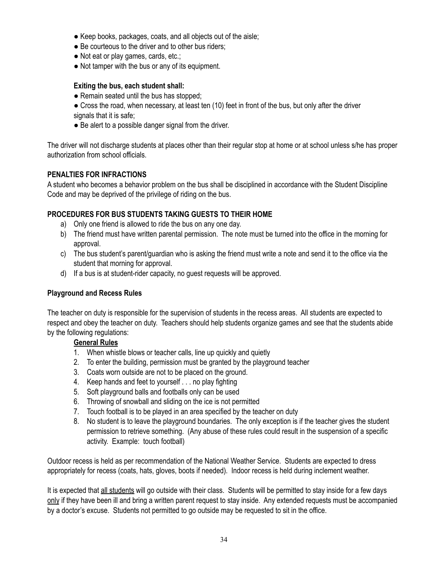- Keep books, packages, coats, and all objects out of the aisle;
- Be courteous to the driver and to other bus riders;
- Not eat or play games, cards, etc.;
- Not tamper with the bus or any of its equipment.

## **Exiting the bus, each student shall:**

- Remain seated until the bus has stopped;
- Cross the road, when necessary, at least ten (10) feet in front of the bus, but only after the driver signals that it is safe;
- Be alert to a possible danger signal from the driver.

The driver will not discharge students at places other than their regular stop at home or at school unless s/he has proper authorization from school officials.

## **PENALTIES FOR INFRACTIONS**

A student who becomes a behavior problem on the bus shall be disciplined in accordance with the Student Discipline Code and may be deprived of the privilege of riding on the bus.

## **PROCEDURES FOR BUS STUDENTS TAKING GUESTS TO THEIR HOME**

- a) Only one friend is allowed to ride the bus on any one day.
- b) The friend must have written parental permission. The note must be turned into the office in the morning for approval.
- c) The bus student's parent/guardian who is asking the friend must write a note and send it to the office via the student that morning for approval.
- d) If a bus is at student-rider capacity, no guest requests will be approved.

## **Playground and Recess Rules**

The teacher on duty is responsible for the supervision of students in the recess areas. All students are expected to respect and obey the teacher on duty. Teachers should help students organize games and see that the students abide by the following regulations:

#### **General Rules**

- 1. When whistle blows or teacher calls, line up quickly and quietly
- 2. To enter the building, permission must be granted by the playground teacher
- 3. Coats worn outside are not to be placed on the ground.
- 4. Keep hands and feet to yourself . . . no play fighting
- 5. Soft playground balls and footballs only can be used
- 6. Throwing of snowball and sliding on the ice is not permitted
- 7. Touch football is to be played in an area specified by the teacher on duty
- 8. No student is to leave the playground boundaries. The only exception is if the teacher gives the student permission to retrieve something. (Any abuse of these rules could result in the suspension of a specific activity. Example: touch football)

Outdoor recess is held as per recommendation of the National Weather Service. Students are expected to dress appropriately for recess (coats, hats, gloves, boots if needed). Indoor recess is held during inclement weather.

It is expected that all students will go outside with their class. Students will be permitted to stay inside for a few days only if they have been ill and bring a written parent request to stay inside. Any extended requests must be accompanied by a doctor's excuse. Students not permitted to go outside may be requested to sit in the office.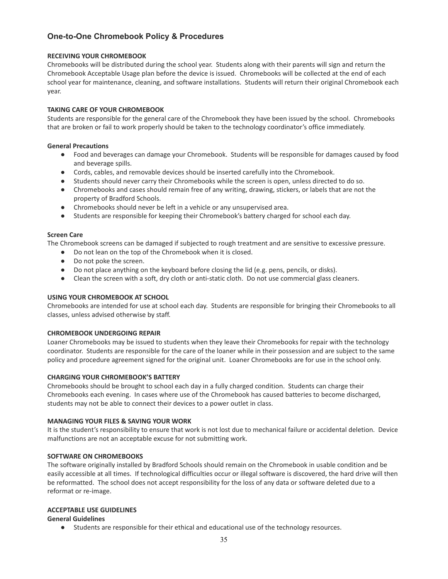## **One-to-One Chromebook Policy & Procedures**

#### **RECEIVING YOUR CHROMEBOOK**

Chromebooks will be distributed during the school year. Students along with their parents will sign and return the Chromebook Acceptable Usage plan before the device is issued. Chromebooks will be collected at the end of each school year for maintenance, cleaning, and software installations. Students will return their original Chromebook each year.

#### **TAKING CARE OF YOUR CHROMEBOOK**

Students are responsible for the general care of the Chromebook they have been issued by the school. Chromebooks that are broken or fail to work properly should be taken to the technology coordinator's office immediately.

#### **General Precautions**

- Food and beverages can damage your Chromebook. Students will be responsible for damages caused by food and beverage spills.
- Cords, cables, and removable devices should be inserted carefully into the Chromebook.
- Students should never carry their Chromebooks while the screen is open, unless directed to do so.
- Chromebooks and cases should remain free of any writing, drawing, stickers, or labels that are not the property of Bradford Schools.
- Chromebooks should never be left in a vehicle or any unsupervised area.
- Students are responsible for keeping their Chromebook's battery charged for school each day.

#### **Screen Care**

The Chromebook screens can be damaged if subjected to rough treatment and are sensitive to excessive pressure.

- Do not lean on the top of the Chromebook when it is closed.
- Do not poke the screen.
- Do not place anything on the keyboard before closing the lid (e.g. pens, pencils, or disks).
- Clean the screen with a soft, dry cloth or anti-static cloth. Do not use commercial glass cleaners.

#### **USING YOUR CHROMEBOOK AT SCHOOL**

Chromebooks are intended for use at school each day. Students are responsible for bringing their Chromebooks to all classes, unless advised otherwise by staff.

#### **CHROMEBOOK UNDERGOING REPAIR**

Loaner Chromebooks may be issued to students when they leave their Chromebooks for repair with the technology coordinator. Students are responsible for the care of the loaner while in their possession and are subject to the same policy and procedure agreement signed for the original unit. Loaner Chromebooks are for use in the school only.

#### **CHARGING YOUR CHROMEBOOK'S BATTERY**

Chromebooks should be brought to school each day in a fully charged condition. Students can charge their Chromebooks each evening. In cases where use of the Chromebook has caused batteries to become discharged, students may not be able to connect their devices to a power outlet in class.

#### **MANAGING YOUR FILES & SAVING YOUR WORK**

It is the student's responsibility to ensure that work is not lost due to mechanical failure or accidental deletion. Device malfunctions are not an acceptable excuse for not submitting work.

#### **SOFTWARE ON CHROMEBOOKS**

The software originally installed by Bradford Schools should remain on the Chromebook in usable condition and be easily accessible at all times. If technological difficulties occur or illegal software is discovered, the hard drive will then be reformatted. The school does not accept responsibility for the loss of any data or software deleted due to a reformat or re-image.

#### **ACCEPTABLE USE GUIDELINES**

#### **General Guidelines**

● Students are responsible for their ethical and educational use of the technology resources.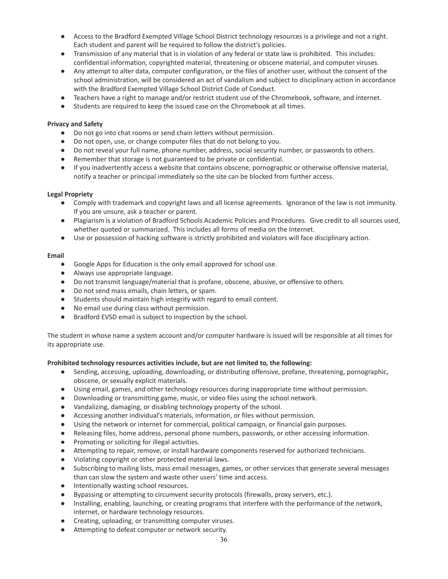- Access to the Bradford Exempted Village School District technology resources is a privilege and not a right. Each student and parent will be required to follow the district's policies.
- Transmission of any material that is in violation of any federal or state law is prohibited. This includes: confidential information, copyrighted material, threatening or obscene material, and computer viruses.
- Any attempt to alter data, computer configuration, or the files of another user, without the consent of the school administration, will be considered an act of vandalism and subject to disciplinary action in accordance with the Bradford Exempted Village School District Code of Conduct.
- Teachers have a right to manage and/or restrict student use of the Chromebook, software, and internet.
- Students are required to keep the issued case on the Chromebook at all times.

#### **Privacy and Safety**

- Do not go into chat rooms or send chain letters without permission.
- Do not open, use, or change computer files that do not belong to you.
- Do not reveal your full name, phone number, address, social security number, or passwords to others.
- Remember that storage is not guaranteed to be private or confidential.
- If you inadvertently access a website that contains obscene, pornographic or otherwise offensive material, notify a teacher or principal immediately so the site can be blocked from further access.

#### **Legal Propriety**

- Comply with trademark and copyright laws and all license agreements. Ignorance of the law is not immunity. If you are unsure, ask a teacher or parent.
- Plagiarism is a violation of Bradford Schools Academic Policies and Procedures. Give credit to all sources used, whether quoted or summarized. This includes all forms of media on the Internet.
- Use or possession of hacking software is strictly prohibited and violators will face disciplinary action.

#### **Email**

- Google Apps for Education is the only email approved for school use.
- Always use appropriate language.
- Do not transmit language/material that is profane, obscene, abusive, or offensive to others.
- Do not send mass emails, chain letters, or spam.
- Students should maintain high integrity with regard to email content.
- No email use during class without permission.
- Bradford EVSD email is subject to inspection by the school.

The student in whose name a system account and/or computer hardware is issued will be responsible at all times for its appropriate use.

#### **Prohibited technology resources activities include, but are not limited to, the following:**

- Sending, accessing, uploading, downloading, or distributing offensive, profane, threatening, pornographic, obscene, or sexually explicit materials.
- Using email, games, and other technology resources during inappropriate time without permission.
- Downloading or transmitting game, music, or video files using the school network.
- Vandalizing, damaging, or disabling technology property of the school.
- Accessing another individual's materials, information, or files without permission.
- Using the network or internet for commercial, political campaign, or financial gain purposes.
- Releasing files, home address, personal phone numbers, passwords, or other accessing information.
- Promoting or soliciting for illegal activities.
- Attempting to repair, remove, or install hardware components reserved for authorized technicians.
- Violating copyright or other protected material laws.
- Subscribing to mailing lists, mass email messages, games, or other services that generate several messages than can slow the system and waste other users' time and access.
- Intentionally wasting school resources.
- Bypassing or attempting to circumvent security protocols (firewalls, proxy servers, etc.).
- Installing, enabling, launching, or creating programs that interfere with the performance of the network, internet, or hardware technology resources.
- Creating, uploading, or transmitting computer viruses.
- Attempting to defeat computer or network security.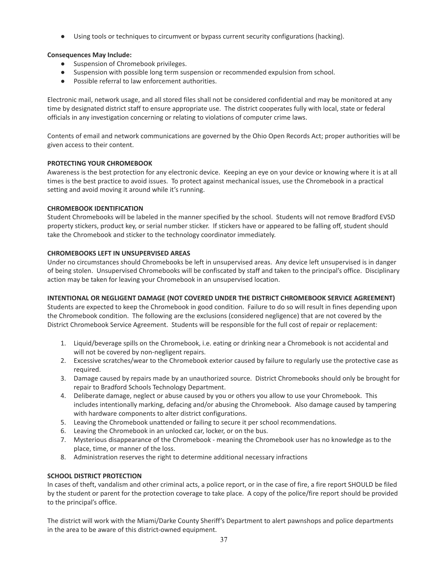● Using tools or techniques to circumvent or bypass current security configurations (hacking).

#### **Consequences May Include:**

- Suspension of Chromebook privileges.
- Suspension with possible long term suspension or recommended expulsion from school.
- Possible referral to law enforcement authorities.

Electronic mail, network usage, and all stored files shall not be considered confidential and may be monitored at any time by designated district staff to ensure appropriate use. The district cooperates fully with local, state or federal officials in any investigation concerning or relating to violations of computer crime laws.

Contents of email and network communications are governed by the Ohio Open Records Act; proper authorities will be given access to their content.

#### **PROTECTING YOUR CHROMEBOOK**

Awareness is the best protection for any electronic device. Keeping an eye on your device or knowing where it is at all times is the best practice to avoid issues. To protect against mechanical issues, use the Chromebook in a practical setting and avoid moving it around while it's running.

#### **CHROMEBOOK IDENTIFICATION**

Student Chromebooks will be labeled in the manner specified by the school. Students will not remove Bradford EVSD property stickers, product key, or serial number sticker. If stickers have or appeared to be falling off, student should take the Chromebook and sticker to the technology coordinator immediately.

#### **CHROMEBOOKS LEFT IN UNSUPERVISED AREAS**

Under no circumstances should Chromebooks be left in unsupervised areas. Any device left unsupervised is in danger of being stolen. Unsupervised Chromebooks will be confiscated by staff and taken to the principal's office. Disciplinary action may be taken for leaving your Chromebook in an unsupervised location.

#### **INTENTIONAL OR NEGLIGENT DAMAGE (NOT COVERED UNDER THE DISTRICT CHROMEBOOK SERVICE AGREEMENT)**

Students are expected to keep the Chromebook in good condition. Failure to do so will result in fines depending upon the Chromebook condition. The following are the exclusions (considered negligence) that are not covered by the District Chromebook Service Agreement. Students will be responsible for the full cost of repair or replacement:

- 1. Liquid/beverage spills on the Chromebook, i.e. eating or drinking near a Chromebook is not accidental and will not be covered by non-negligent repairs.
- 2. Excessive scratches/wear to the Chromebook exterior caused by failure to regularly use the protective case as required.
- 3. Damage caused by repairs made by an unauthorized source. District Chromebooks should only be brought for repair to Bradford Schools Technology Department.
- 4. Deliberate damage, neglect or abuse caused by you or others you allow to use your Chromebook. This includes intentionally marking, defacing and/or abusing the Chromebook. Also damage caused by tampering with hardware components to alter district configurations.
- 5. Leaving the Chromebook unattended or failing to secure it per school recommendations.
- 6. Leaving the Chromebook in an unlocked car, locker, or on the bus.
- 7. Mysterious disappearance of the Chromebook meaning the Chromebook user has no knowledge as to the place, time, or manner of the loss.
- 8. Administration reserves the right to determine additional necessary infractions

#### **SCHOOL DISTRICT PROTECTION**

In cases of theft, vandalism and other criminal acts, a police report, or in the case of fire, a fire report SHOULD be filed by the student or parent for the protection coverage to take place. A copy of the police/fire report should be provided to the principal's office.

The district will work with the Miami/Darke County Sheriff's Department to alert pawnshops and police departments in the area to be aware of this district-owned equipment.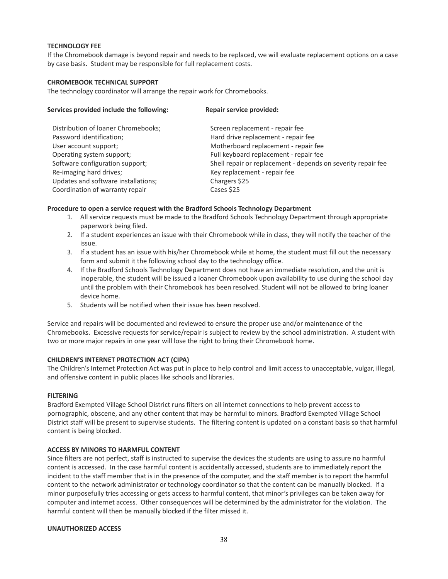#### **TECHNOLOGY FEE**

If the Chromebook damage is beyond repair and needs to be replaced, we will evaluate replacement options on a case by case basis. Student may be responsible for full replacement costs.

#### **CHROMEBOOK TECHNICAL SUPPORT**

The technology coordinator will arrange the repair work for Chromebooks.

| Services provided include the following: | Repair service provided:                                     |  |
|------------------------------------------|--------------------------------------------------------------|--|
| Distribution of loaner Chromebooks;      | Screen replacement - repair fee                              |  |
| Password identification;                 | Hard drive replacement - repair fee                          |  |
| User account support;                    | Motherboard replacement - repair fee                         |  |
| Operating system support;                | Full keyboard replacement - repair fee                       |  |
| Software configuration support;          | Shell repair or replacement - depends on severity repair fee |  |
| Re-imaging hard drives;                  | Key replacement - repair fee                                 |  |
| Updates and software installations;      | Chargers \$25                                                |  |
| Coordination of warranty repair          | Cases \$25                                                   |  |

#### **Procedure to open a service request with the Bradford Schools Technology Department**

- 1. All service requests must be made to the Bradford Schools Technology Department through appropriate paperwork being filed.
- 2. If a student experiences an issue with their Chromebook while in class, they will notify the teacher of the issue.
- 3. If a student has an issue with his/her Chromebook while at home, the student must fill out the necessary form and submit it the following school day to the technology office.
- 4. If the Bradford Schools Technology Department does not have an immediate resolution, and the unit is inoperable, the student will be issued a loaner Chromebook upon availability to use during the school day until the problem with their Chromebook has been resolved. Student will not be allowed to bring loaner device home.
- 5. Students will be notified when their issue has been resolved.

Service and repairs will be documented and reviewed to ensure the proper use and/or maintenance of the Chromebooks. Excessive requests for service/repair is subject to review by the school administration. A student with two or more major repairs in one year will lose the right to bring their Chromebook home.

#### **CHILDREN'S INTERNET PROTECTION ACT (CIPA)**

The Children's Internet Protection Act was put in place to help control and limit access to unacceptable, vulgar, illegal, and offensive content in public places like schools and libraries.

#### **FILTERING**

Bradford Exempted Village School District runs filters on all internet connections to help prevent access to pornographic, obscene, and any other content that may be harmful to minors. Bradford Exempted Village School District staff will be present to supervise students. The filtering content is updated on a constant basis so that harmful content is being blocked.

#### **ACCESS BY MINORS TO HARMFUL CONTENT**

Since filters are not perfect, staff is instructed to supervise the devices the students are using to assure no harmful content is accessed. In the case harmful content is accidentally accessed, students are to immediately report the incident to the staff member that is in the presence of the computer, and the staff member is to report the harmful content to the network administrator or technology coordinator so that the content can be manually blocked. If a minor purposefully tries accessing or gets access to harmful content, that minor's privileges can be taken away for computer and internet access. Other consequences will be determined by the administrator for the violation. The harmful content will then be manually blocked if the filter missed it.

#### **UNAUTHORIZED ACCESS**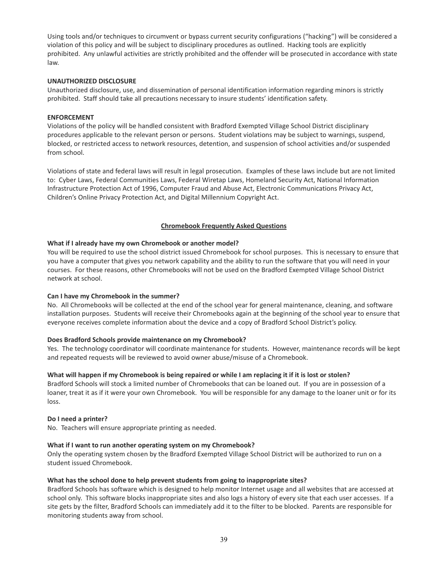Using tools and/or techniques to circumvent or bypass current security configurations ("hacking") will be considered a violation of this policy and will be subject to disciplinary procedures as outlined. Hacking tools are explicitly prohibited. Any unlawful activities are strictly prohibited and the offender will be prosecuted in accordance with state law.

#### **UNAUTHORIZED DISCLOSURE**

Unauthorized disclosure, use, and dissemination of personal identification information regarding minors is strictly prohibited. Staff should take all precautions necessary to insure students' identification safety.

#### **ENFORCEMENT**

Violations of the policy will be handled consistent with Bradford Exempted Village School District disciplinary procedures applicable to the relevant person or persons. Student violations may be subject to warnings, suspend, blocked, or restricted access to network resources, detention, and suspension of school activities and/or suspended from school.

Violations of state and federal laws will result in legal prosecution. Examples of these laws include but are not limited to: Cyber Laws, Federal Communities Laws, Federal Wiretap Laws, Homeland Security Act, National Information Infrastructure Protection Act of 1996, Computer Fraud and Abuse Act, Electronic Communications Privacy Act, Children's Online Privacy Protection Act, and Digital Millennium Copyright Act.

#### **Chromebook Frequently Asked Questions**

#### **What if I already have my own Chromebook or another model?**

You will be required to use the school district issued Chromebook for school purposes. This is necessary to ensure that you have a computer that gives you network capability and the ability to run the software that you will need in your courses. For these reasons, other Chromebooks will not be used on the Bradford Exempted Village School District network at school.

#### **Can I have my Chromebook in the summer?**

No. All Chromebooks will be collected at the end of the school year for general maintenance, cleaning, and software installation purposes. Students will receive their Chromebooks again at the beginning of the school year to ensure that everyone receives complete information about the device and a copy of Bradford School District's policy.

#### **Does Bradford Schools provide maintenance on my Chromebook?**

Yes. The technology coordinator will coordinate maintenance for students. However, maintenance records will be kept and repeated requests will be reviewed to avoid owner abuse/misuse of a Chromebook.

#### What will happen if my Chromebook is being repaired or while I am replacing it if it is lost or stolen?

Bradford Schools will stock a limited number of Chromebooks that can be loaned out. If you are in possession of a loaner, treat it as if it were your own Chromebook. You will be responsible for any damage to the loaner unit or for its loss.

#### **Do I need a printer?**

No. Teachers will ensure appropriate printing as needed.

#### **What if I want to run another operating system on my Chromebook?**

Only the operating system chosen by the Bradford Exempted Village School District will be authorized to run on a student issued Chromebook.

#### **What has the school done to help prevent students from going to inappropriate sites?**

Bradford Schools has software which is designed to help monitor Internet usage and all websites that are accessed at school only. This software blocks inappropriate sites and also logs a history of every site that each user accesses. If a site gets by the filter, Bradford Schools can immediately add it to the filter to be blocked. Parents are responsible for monitoring students away from school.